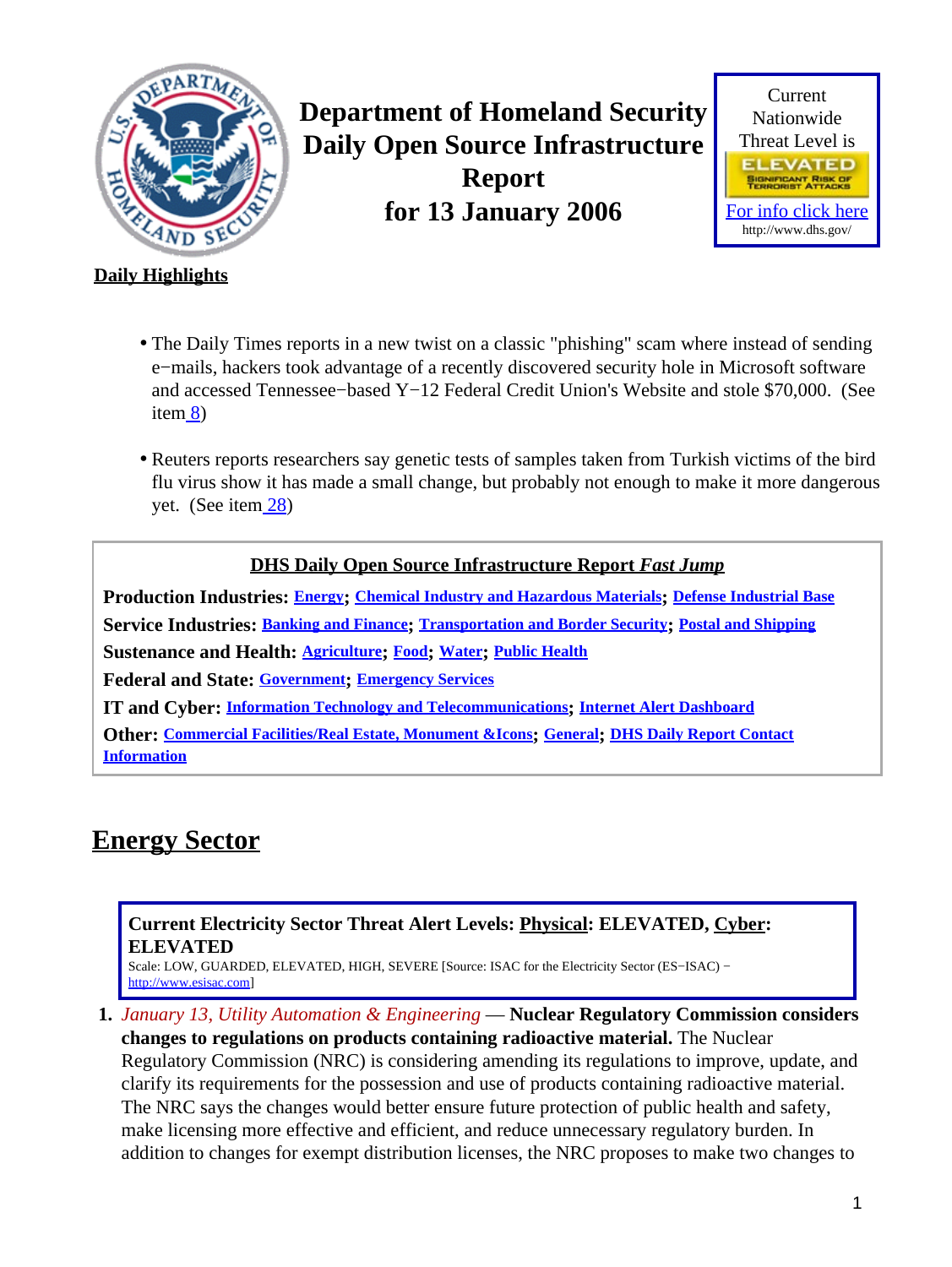<span id="page-0-1"></span>

**Department of Homeland Security Daily Open Source Infrastructure Report for 13 January 2006**



### **Daily Highlights**

- The Daily Times reports in a new twist on a classic "phishing" scam where instead of sending e−mails, hackers took advantage of a recently discovered security hole in Microsoft software and accessed Tennessee−based Y−12 Federal Credit Union's Website and stole \$70,000. (See item  $8$ )
- Reuters reports researchers say genetic tests of samples taken from Turkish victims of the bird flu virus show it has made a small change, but probably not enough to make it more dangerous yet. (See ite[m 28](#page-10-0))

### **DHS Daily Open Source Infrastructure Report** *Fast Jump*

**Production Industries: [Energy](#page-0-0); [Chemical Industry and Hazardous Materials](#page-3-1); [Defense Industrial Base](#page-3-2) Service Industries: [Banking and Finance](#page-3-3); [Transportation and Border Security](#page-5-0); [Postal and Shipping](#page-7-0) Sustenance and Health: [Agriculture](#page-8-0); [Food](#page-9-0); [Water](#page-9-1); [Public Health](#page-9-2) Federal and State: [Government](#page-11-0); [Emergency Services](#page-12-0)**

**IT and Cyber: [Information Technology and Telecommunications](#page-13-0); [Internet Alert Dashboard](#page-16-0)**

**Other: [Commercial Facilities/Real Estate, Monument &Icons](#page-18-0); [General](#page-18-1); [DHS Daily Report Contact](#page-18-2) [Information](#page-18-2)**

# <span id="page-0-0"></span>**Energy Sector**

### **Current Electricity Sector Threat Alert Levels: Physical: ELEVATED, Cyber: ELEVATED**

Scale: LOW, GUARDED, ELEVATED, HIGH, SEVERE [Source: ISAC for the Electricity Sector (ES−ISAC) − [http://www.esisac.com](http://esisac.com)]

**1.** *January 13, Utility Automation & Engineering* — **Nuclear Regulatory Commission considers changes to regulations on products containing radioactive material.** The Nuclear Regulatory Commission (NRC) is considering amending its regulations to improve, update, and

clarify its requirements for the possession and use of products containing radioactive material. The NRC says the changes would better ensure future protection of public health and safety, make licensing more effective and efficient, and reduce unnecessary regulatory burden. In addition to changes for exempt distribution licenses, the NRC proposes to make two changes to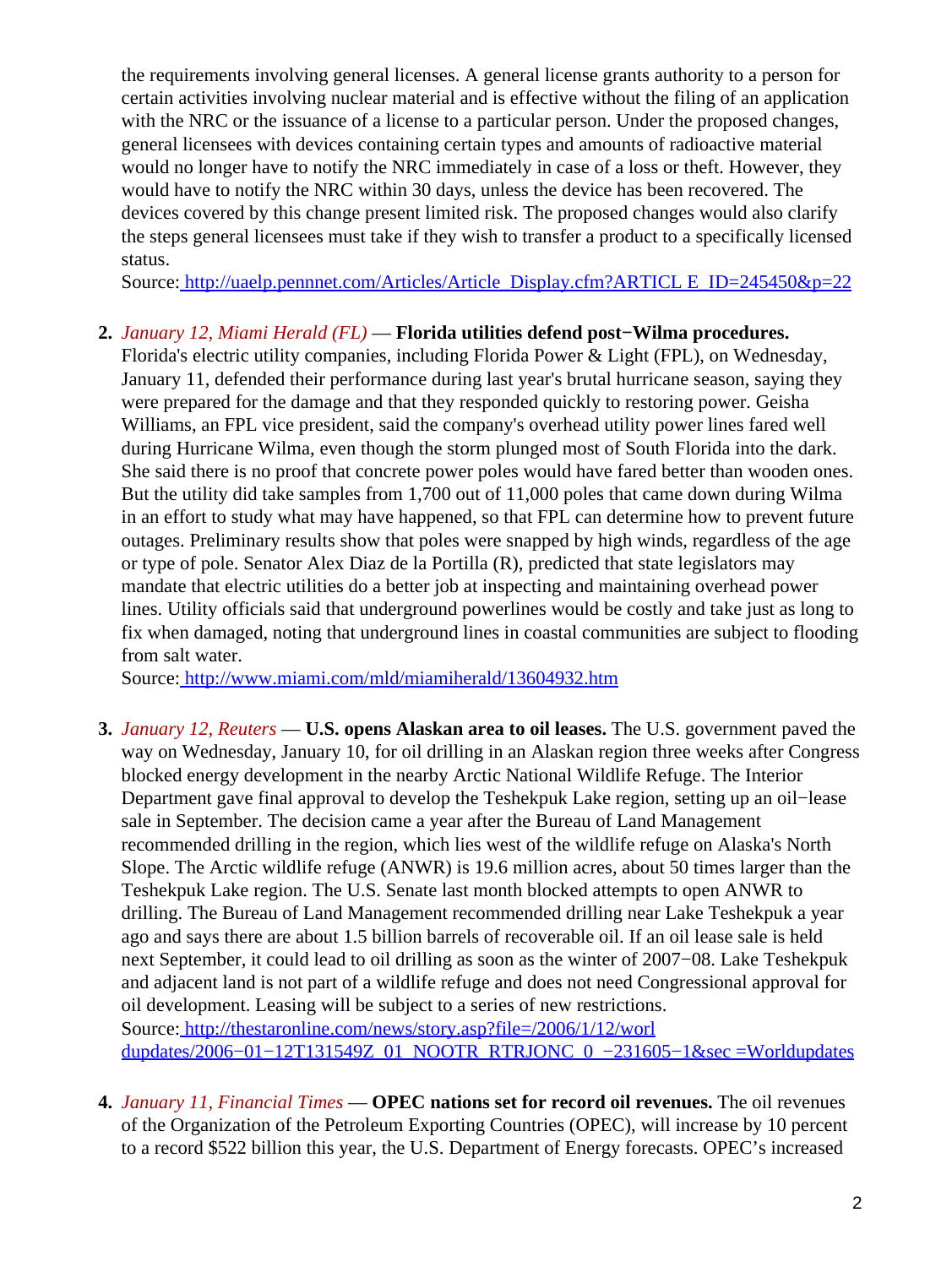the requirements involving general licenses. A general license grants authority to a person for certain activities involving nuclear material and is effective without the filing of an application with the NRC or the issuance of a license to a particular person. Under the proposed changes, general licensees with devices containing certain types and amounts of radioactive material would no longer have to notify the NRC immediately in case of a loss or theft. However, they would have to notify the NRC within 30 days, unless the device has been recovered. The devices covered by this change present limited risk. The proposed changes would also clarify the steps general licensees must take if they wish to transfer a product to a specifically licensed status.

Source[: http://uaelp.pennnet.com/Articles/Article\\_Display.cfm?ARTICL E\\_ID=245450&p=22](http://uaelp.pennnet.com/Articles/Article_Display.cfm?ARTICLE_ID=245450&p=22)

### **2.** *January 12, Miami Herald (FL)* — **Florida utilities defend post−Wilma procedures.**

Florida's electric utility companies, including Florida Power & Light (FPL), on Wednesday, January 11, defended their performance during last year's brutal hurricane season, saying they were prepared for the damage and that they responded quickly to restoring power. Geisha Williams, an FPL vice president, said the company's overhead utility power lines fared well during Hurricane Wilma, even though the storm plunged most of South Florida into the dark. She said there is no proof that concrete power poles would have fared better than wooden ones. But the utility did take samples from 1,700 out of 11,000 poles that came down during Wilma in an effort to study what may have happened, so that FPL can determine how to prevent future outages. Preliminary results show that poles were snapped by high winds, regardless of the age or type of pole. Senator Alex Diaz de la Portilla (R), predicted that state legislators may mandate that electric utilities do a better job at inspecting and maintaining overhead power lines. Utility officials said that underground powerlines would be costly and take just as long to fix when damaged, noting that underground lines in coastal communities are subject to flooding from salt water.

Source[: http://www.miami.com/mld/miamiherald/13604932.htm](http://www.miami.com/mld/miamiherald/13604932.htm)

- **3.** *January 12, Reuters* — **U.S. opens Alaskan area to oil leases.** The U.S. government paved the way on Wednesday, January 10, for oil drilling in an Alaskan region three weeks after Congress blocked energy development in the nearby Arctic National Wildlife Refuge. The Interior Department gave final approval to develop the Teshekpuk Lake region, setting up an oil−lease sale in September. The decision came a year after the Bureau of Land Management recommended drilling in the region, which lies west of the wildlife refuge on Alaska's North Slope. The Arctic wildlife refuge (ANWR) is 19.6 million acres, about 50 times larger than the Teshekpuk Lake region. The U.S. Senate last month blocked attempts to open ANWR to drilling. The Bureau of Land Management recommended drilling near Lake Teshekpuk a year ago and says there are about 1.5 billion barrels of recoverable oil. If an oil lease sale is held next September, it could lead to oil drilling as soon as the winter of 2007−08. Lake Teshekpuk and adjacent land is not part of a wildlife refuge and does not need Congressional approval for oil development. Leasing will be subject to a series of new restrictions. Source[: http://thestaronline.com/news/story.asp?file=/2006/1/12/worl](http://thestaronline.com/news/story.asp?file=/2006/1/12/worldupdates/2006-01-12T131549Z_01_NOOTR_RTRJONC_0_-231605-1&sec=Worldupdates) [dupdates/2006−01−12T131549Z\\_01\\_NOOTR\\_RTRJONC\\_0\\_−231605−1&sec =Worldupdates](http://thestaronline.com/news/story.asp?file=/2006/1/12/worldupdates/2006-01-12T131549Z_01_NOOTR_RTRJONC_0_-231605-1&sec=Worldupdates)
- **4.** *January 11, Financial Times* — **OPEC nations set for record oil revenues.** The oil revenues of the Organization of the Petroleum Exporting Countries (OPEC), will increase by 10 percent to a record \$522 billion this year, the U.S. Department of Energy forecasts. OPEC's increased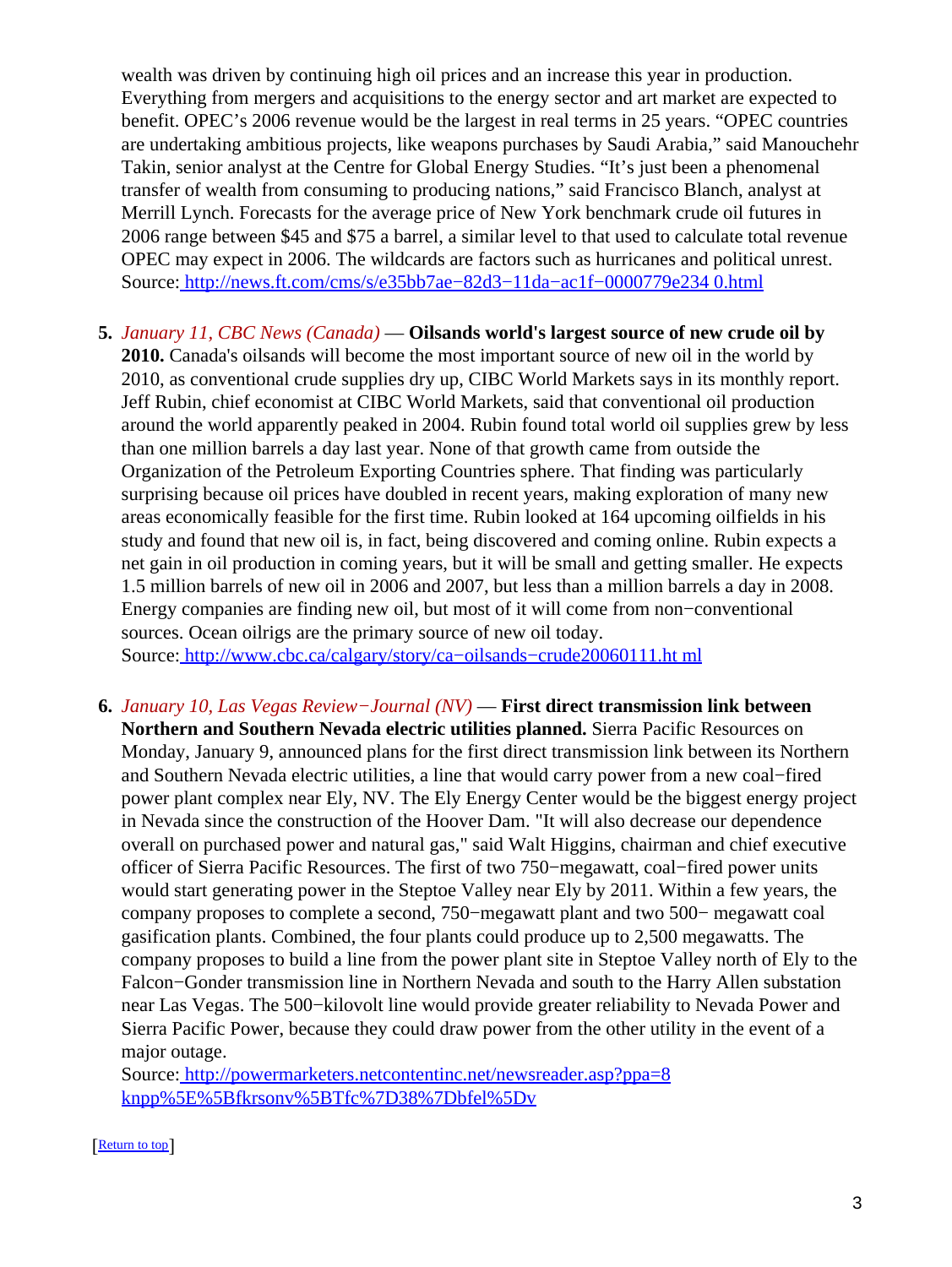wealth was driven by continuing high oil prices and an increase this year in production. Everything from mergers and acquisitions to the energy sector and art market are expected to benefit. OPEC's 2006 revenue would be the largest in real terms in 25 years. "OPEC countries are undertaking ambitious projects, like weapons purchases by Saudi Arabia," said Manouchehr Takin, senior analyst at the Centre for Global Energy Studies. "It's just been a phenomenal transfer of wealth from consuming to producing nations," said Francisco Blanch, analyst at Merrill Lynch. Forecasts for the average price of New York benchmark crude oil futures in 2006 range between \$45 and \$75 a barrel, a similar level to that used to calculate total revenue OPEC may expect in 2006. The wildcards are factors such as hurricanes and political unrest. Source[: http://news.ft.com/cms/s/e35bb7ae−82d3−11da−ac1f−0000779e234 0.html](http://news.ft.com/cms/s/e35bb7ae-82d3-11da-ac1f-0000779e2340.html)

**5.** *January 11, CBC News (Canada)* — **Oilsands world's largest source of new crude oil by 2010.** Canada's oilsands will become the most important source of new oil in the world by 2010, as conventional crude supplies dry up, CIBC World Markets says in its monthly report. Jeff Rubin, chief economist at CIBC World Markets, said that conventional oil production around the world apparently peaked in 2004. Rubin found total world oil supplies grew by less than one million barrels a day last year. None of that growth came from outside the Organization of the Petroleum Exporting Countries sphere. That finding was particularly surprising because oil prices have doubled in recent years, making exploration of many new areas economically feasible for the first time. Rubin looked at 164 upcoming oilfields in his study and found that new oil is, in fact, being discovered and coming online. Rubin expects a net gain in oil production in coming years, but it will be small and getting smaller. He expects 1.5 million barrels of new oil in 2006 and 2007, but less than a million barrels a day in 2008. Energy companies are finding new oil, but most of it will come from non−conventional sources. Ocean oilrigs are the primary source of new oil today.

Source[: http://www.cbc.ca/calgary/story/ca−oilsands−crude20060111.ht ml](http://www.cbc.ca/calgary/story/ca-oilsands-crude20060111.html)

**6.** *January 10, Las Vegas Review−Journal (NV)* — **First direct transmission link between Northern and Southern Nevada electric utilities planned.** Sierra Pacific Resources on Monday, January 9, announced plans for the first direct transmission link between its Northern and Southern Nevada electric utilities, a line that would carry power from a new coal−fired power plant complex near Ely, NV. The Ely Energy Center would be the biggest energy project in Nevada since the construction of the Hoover Dam. "It will also decrease our dependence overall on purchased power and natural gas," said Walt Higgins, chairman and chief executive officer of Sierra Pacific Resources. The first of two 750−megawatt, coal−fired power units would start generating power in the Steptoe Valley near Ely by 2011. Within a few years, the company proposes to complete a second, 750−megawatt plant and two 500− megawatt coal gasification plants. Combined, the four plants could produce up to 2,500 megawatts. The company proposes to build a line from the power plant site in Steptoe Valley north of Ely to the Falcon−Gonder transmission line in Northern Nevada and south to the Harry Allen substation near Las Vegas. The 500−kilovolt line would provide greater reliability to Nevada Power and Sierra Pacific Power, because they could draw power from the other utility in the event of a major outage.

Source[: http://powermarketers.netcontentinc.net/newsreader.asp?ppa=8](http://powermarketers.netcontentinc.net/newsreader.asp?ppa=8knpp%5E%5Bfkrsonv%5BTfc%7D38%7Dbfel%5Dv) [knpp%5E%5Bfkrsonv%5BTfc%7D38%7Dbfel%5Dv](http://powermarketers.netcontentinc.net/newsreader.asp?ppa=8knpp%5E%5Bfkrsonv%5BTfc%7D38%7Dbfel%5Dv)

#### [[Return to top](#page-0-1)]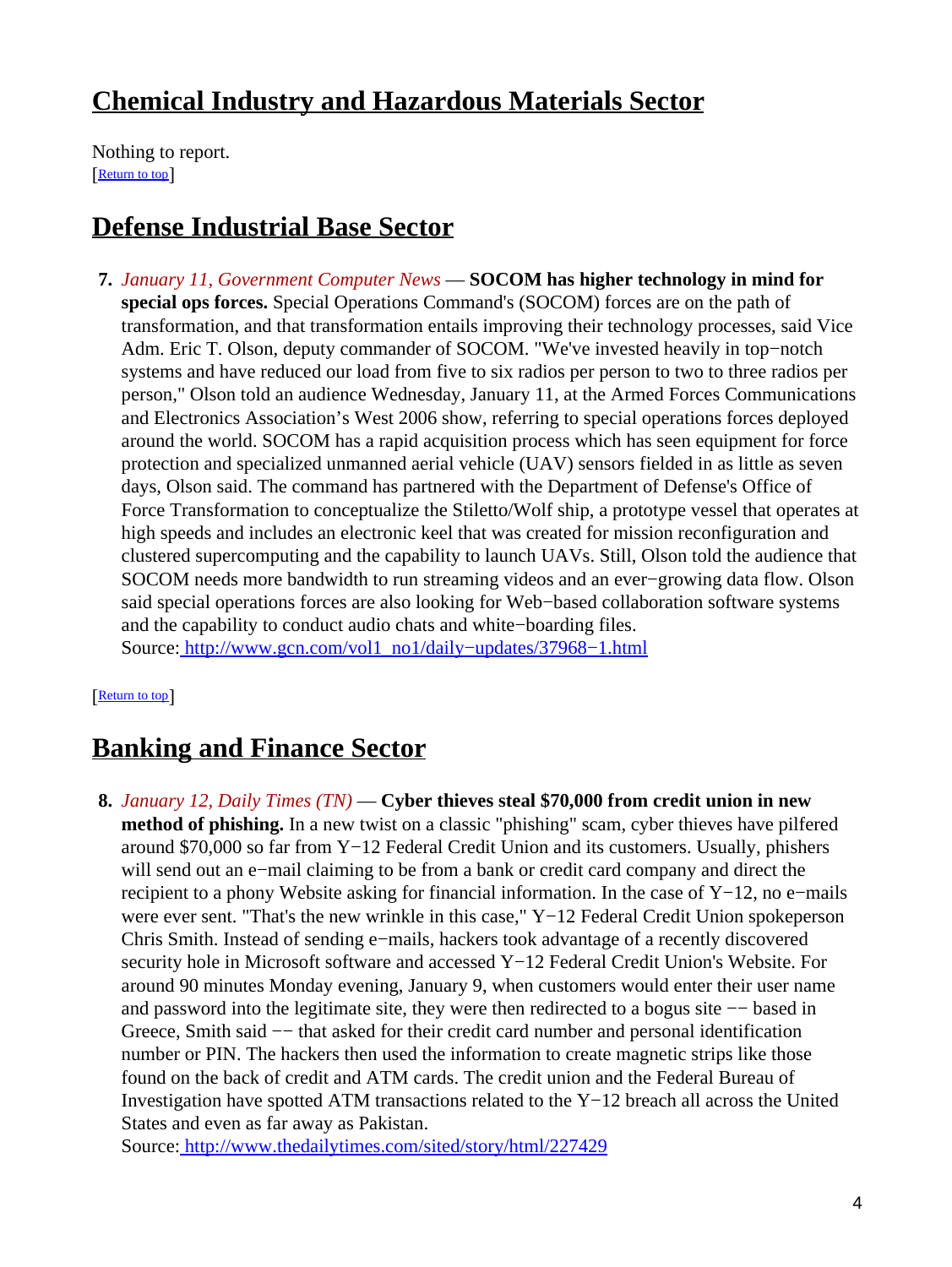# <span id="page-3-1"></span>**Chemical Industry and Hazardous Materials Sector**

Nothing to report. **[Return to top](#page-0-1)** 

## <span id="page-3-2"></span>**Defense Industrial Base Sector**

**7.** *January 11, Government Computer News* — **SOCOM has higher technology in mind for special ops forces.** Special Operations Command's (SOCOM) forces are on the path of transformation, and that transformation entails improving their technology processes, said Vice Adm. Eric T. Olson, deputy commander of SOCOM. "We've invested heavily in top−notch systems and have reduced our load from five to six radios per person to two to three radios per person," Olson told an audience Wednesday, January 11, at the Armed Forces Communications and Electronics Association's West 2006 show, referring to special operations forces deployed around the world. SOCOM has a rapid acquisition process which has seen equipment for force protection and specialized unmanned aerial vehicle (UAV) sensors fielded in as little as seven days, Olson said. The command has partnered with the Department of Defense's Office of Force Transformation to conceptualize the Stiletto/Wolf ship, a prototype vessel that operates at high speeds and includes an electronic keel that was created for mission reconfiguration and clustered supercomputing and the capability to launch UAVs. Still, Olson told the audience that SOCOM needs more bandwidth to run streaming videos and an ever−growing data flow. Olson said special operations forces are also looking for Web−based collaboration software systems and the capability to conduct audio chats and white−boarding files. Source[: http://www.gcn.com/vol1\\_no1/daily−updates/37968−1.html](http://www.gcn.com/vol1_no1/daily-updates/37968-1.html)

[[Return to top](#page-0-1)]

# <span id="page-3-3"></span>**Banking and Finance Sector**

<span id="page-3-0"></span>**8.** *January 12, Daily Times (TN)* — **Cyber thieves steal \$70,000 from credit union in new method of phishing.** In a new twist on a classic "phishing" scam, cyber thieves have pilfered around \$70,000 so far from Y−12 Federal Credit Union and its customers. Usually, phishers will send out an e−mail claiming to be from a bank or credit card company and direct the recipient to a phony Website asking for financial information. In the case of Y−12, no e−mails were ever sent. "That's the new wrinkle in this case," Y−12 Federal Credit Union spokeperson Chris Smith. Instead of sending e−mails, hackers took advantage of a recently discovered security hole in Microsoft software and accessed Y−12 Federal Credit Union's Website. For around 90 minutes Monday evening, January 9, when customers would enter their user name and password into the legitimate site, they were then redirected to a bogus site −− based in Greece, Smith said −− that asked for their credit card number and personal identification number or PIN. The hackers then used the information to create magnetic strips like those found on the back of credit and ATM cards. The credit union and the Federal Bureau of Investigation have spotted ATM transactions related to the Y−12 breach all across the United States and even as far away as Pakistan.

Source[: http://www.thedailytimes.com/sited/story/html/227429](http://www.thedailytimes.com/sited/story/html/227429)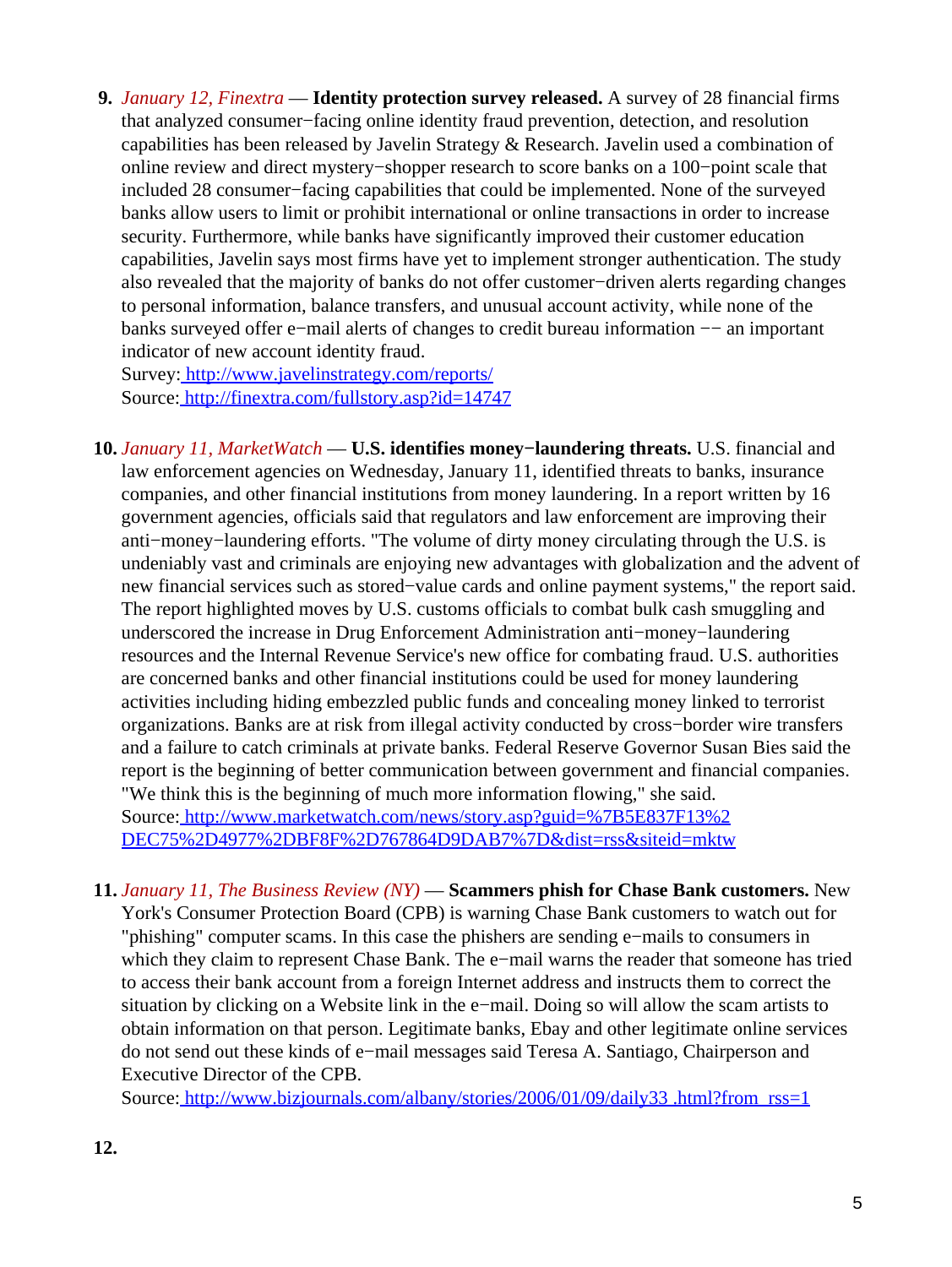**9.** *January 12, Finextra* — **Identity protection survey released.** A survey of 28 financial firms that analyzed consumer−facing online identity fraud prevention, detection, and resolution capabilities has been released by Javelin Strategy & Research. Javelin used a combination of online review and direct mystery−shopper research to score banks on a 100−point scale that included 28 consumer−facing capabilities that could be implemented. None of the surveyed banks allow users to limit or prohibit international or online transactions in order to increase security. Furthermore, while banks have significantly improved their customer education capabilities, Javelin says most firms have yet to implement stronger authentication. The study also revealed that the majority of banks do not offer customer−driven alerts regarding changes to personal information, balance transfers, and unusual account activity, while none of the banks surveyed offer e−mail alerts of changes to credit bureau information −− an important indicator of new account identity fraud.

Survey[: http://www.javelinstrategy.com/reports/](http://www.javelinstrategy.com/reports/) Source[: http://finextra.com/fullstory.asp?id=14747](http://finextra.com/fullstory.asp?id=14747)

- **10.** *January 11, MarketWatch* — **U.S. identifies money−laundering threats.** U.S. financial and law enforcement agencies on Wednesday, January 11, identified threats to banks, insurance companies, and other financial institutions from money laundering. In a report written by 16 government agencies, officials said that regulators and law enforcement are improving their anti−money−laundering efforts. "The volume of dirty money circulating through the U.S. is undeniably vast and criminals are enjoying new advantages with globalization and the advent of new financial services such as stored−value cards and online payment systems," the report said. The report highlighted moves by U.S. customs officials to combat bulk cash smuggling and underscored the increase in Drug Enforcement Administration anti−money−laundering resources and the Internal Revenue Service's new office for combating fraud. U.S. authorities are concerned banks and other financial institutions could be used for money laundering activities including hiding embezzled public funds and concealing money linked to terrorist organizations. Banks are at risk from illegal activity conducted by cross−border wire transfers and a failure to catch criminals at private banks. Federal Reserve Governor Susan Bies said the report is the beginning of better communication between government and financial companies. "We think this is the beginning of much more information flowing," she said. Source[: http://www.marketwatch.com/news/story.asp?guid=%7B5E837F13%2](http://www.marketwatch.com/news/story.asp?guid=%7B5E837F13%2DEC75%2D4977%2DBF8F%2D767864D9DAB7%7D&dist=rss&siteid=mktw) [DEC75%2D4977%2DBF8F%2D767864D9DAB7%7D&dist=rss&siteid=mktw](http://www.marketwatch.com/news/story.asp?guid=%7B5E837F13%2DEC75%2D4977%2DBF8F%2D767864D9DAB7%7D&dist=rss&siteid=mktw)
- **11.** *January 11, The Business Review (NY)* — **Scammers phish for Chase Bank customers.** New York's Consumer Protection Board (CPB) is warning Chase Bank customers to watch out for "phishing" computer scams. In this case the phishers are sending e−mails to consumers in which they claim to represent Chase Bank. The e−mail warns the reader that someone has tried to access their bank account from a foreign Internet address and instructs them to correct the situation by clicking on a Website link in the e−mail. Doing so will allow the scam artists to obtain information on that person. Legitimate banks, Ebay and other legitimate online services do not send out these kinds of e−mail messages said Teresa A. Santiago, Chairperson and Executive Director of the CPB.

Source[: http://www.bizjournals.com/albany/stories/2006/01/09/daily33 .html?from\\_rss=1](http://www.bizjournals.com/albany/stories/2006/01/09/daily33.html?from_rss=1)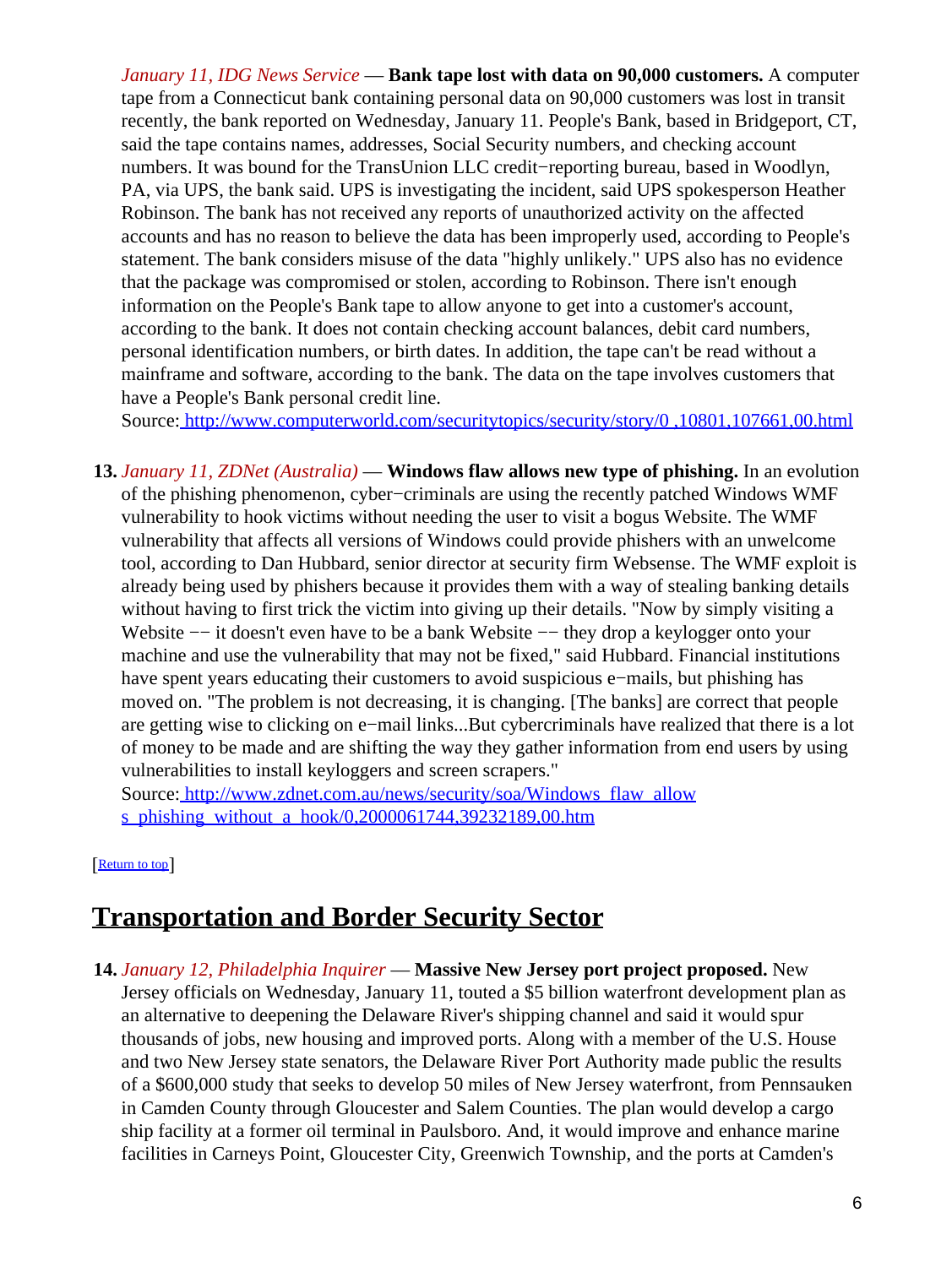*January 11, IDG News Service* — **Bank tape lost with data on 90,000 customers.** A computer tape from a Connecticut bank containing personal data on 90,000 customers was lost in transit recently, the bank reported on Wednesday, January 11. People's Bank, based in Bridgeport, CT, said the tape contains names, addresses, Social Security numbers, and checking account numbers. It was bound for the TransUnion LLC credit−reporting bureau, based in Woodlyn, PA, via UPS, the bank said. UPS is investigating the incident, said UPS spokesperson Heather Robinson. The bank has not received any reports of unauthorized activity on the affected accounts and has no reason to believe the data has been improperly used, according to People's statement. The bank considers misuse of the data "highly unlikely." UPS also has no evidence that the package was compromised or stolen, according to Robinson. There isn't enough information on the People's Bank tape to allow anyone to get into a customer's account, according to the bank. It does not contain checking account balances, debit card numbers, personal identification numbers, or birth dates. In addition, the tape can't be read without a mainframe and software, according to the bank. The data on the tape involves customers that have a People's Bank personal credit line.

Source[: http://www.computerworld.com/securitytopics/security/story/0 ,10801,107661,00.html](http://www.computerworld.com/securitytopics/security/story/0,10801,107661,00.html)

**13.** *January 11, ZDNet (Australia)* — **Windows flaw allows new type of phishing.** In an evolution of the phishing phenomenon, cyber−criminals are using the recently patched Windows WMF vulnerability to hook victims without needing the user to visit a bogus Website. The WMF vulnerability that affects all versions of Windows could provide phishers with an unwelcome tool, according to Dan Hubbard, senior director at security firm Websense. The WMF exploit is already being used by phishers because it provides them with a way of stealing banking details without having to first trick the victim into giving up their details. "Now by simply visiting a Website −− it doesn't even have to be a bank Website −− they drop a keylogger onto your machine and use the vulnerability that may not be fixed," said Hubbard. Financial institutions have spent years educating their customers to avoid suspicious e−mails, but phishing has moved on. "The problem is not decreasing, it is changing. [The banks] are correct that people are getting wise to clicking on e−mail links...But cybercriminals have realized that there is a lot of money to be made and are shifting the way they gather information from end users by using vulnerabilities to install keyloggers and screen scrapers."

Source[: http://www.zdnet.com.au/news/security/soa/Windows\\_flaw\\_allow](http://www.zdnet.com.au/news/security/soa/Windows_flaw_allows_phishing_without_a_hook/0,2000061744,39232189,00.htm) [s\\_phishing\\_without\\_a\\_hook/0,2000061744,39232189,00.htm](http://www.zdnet.com.au/news/security/soa/Windows_flaw_allows_phishing_without_a_hook/0,2000061744,39232189,00.htm)

[[Return to top](#page-0-1)]

## <span id="page-5-0"></span>**Transportation and Border Security Sector**

**14.** *January 12, Philadelphia Inquirer* — **Massive New Jersey port project proposed.** New Jersey officials on Wednesday, January 11, touted a \$5 billion waterfront development plan as an alternative to deepening the Delaware River's shipping channel and said it would spur thousands of jobs, new housing and improved ports. Along with a member of the U.S. House and two New Jersey state senators, the Delaware River Port Authority made public the results of a \$600,000 study that seeks to develop 50 miles of New Jersey waterfront, from Pennsauken in Camden County through Gloucester and Salem Counties. The plan would develop a cargo ship facility at a former oil terminal in Paulsboro. And, it would improve and enhance marine facilities in Carneys Point, Gloucester City, Greenwich Township, and the ports at Camden's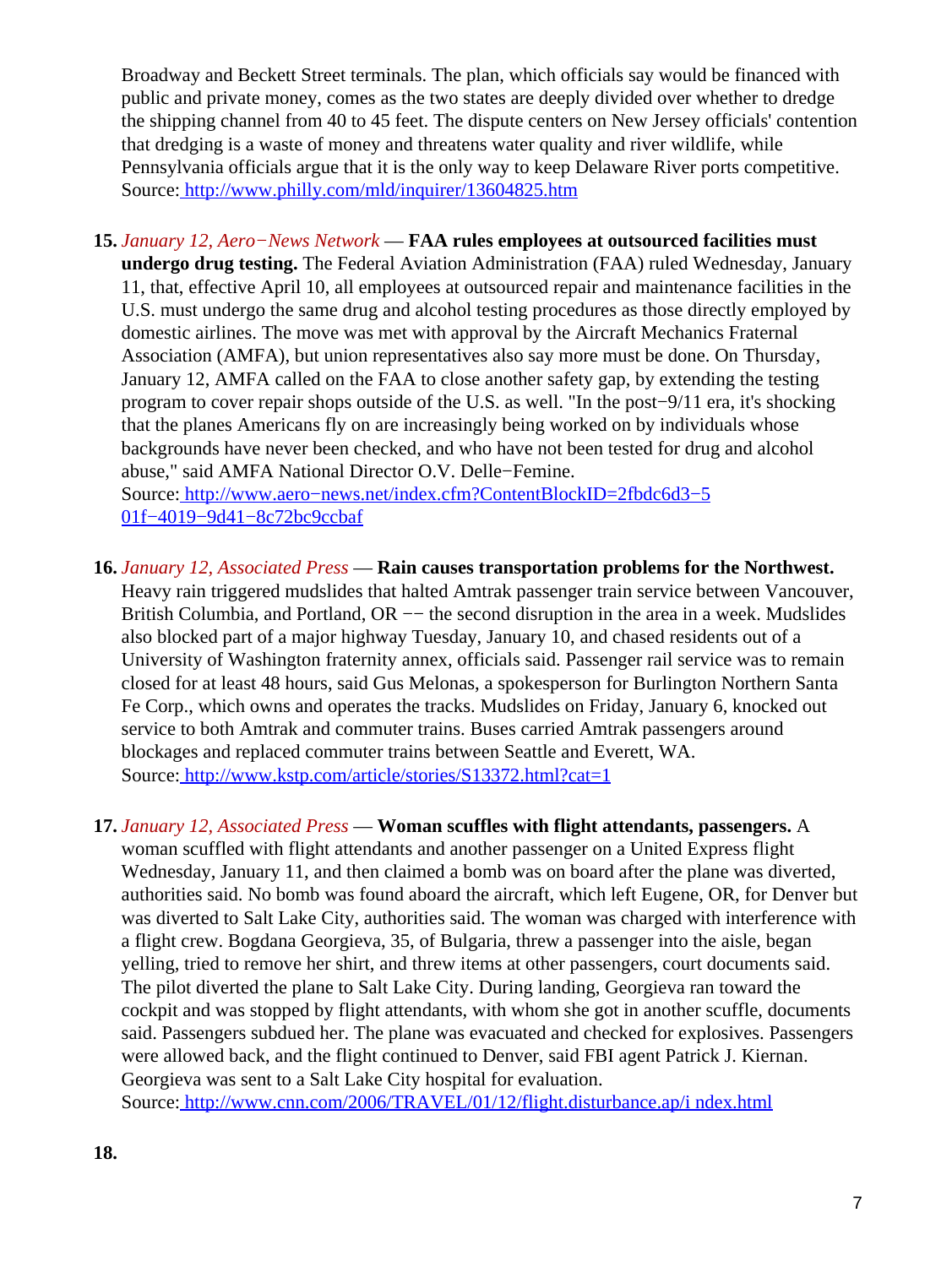Broadway and Beckett Street terminals. The plan, which officials say would be financed with public and private money, comes as the two states are deeply divided over whether to dredge the shipping channel from 40 to 45 feet. The dispute centers on New Jersey officials' contention that dredging is a waste of money and threatens water quality and river wildlife, while Pennsylvania officials argue that it is the only way to keep Delaware River ports competitive. Source[: http://www.philly.com/mld/inquirer/13604825.htm](http://www.philly.com/mld/inquirer/13604825.htm)

#### **15.** *January 12, Aero−News Network* — **FAA rules employees at outsourced facilities must**

**undergo drug testing.** The Federal Aviation Administration (FAA) ruled Wednesday, January 11, that, effective April 10, all employees at outsourced repair and maintenance facilities in the U.S. must undergo the same drug and alcohol testing procedures as those directly employed by domestic airlines. The move was met with approval by the Aircraft Mechanics Fraternal Association (AMFA), but union representatives also say more must be done. On Thursday, January 12, AMFA called on the FAA to close another safety gap, by extending the testing program to cover repair shops outside of the U.S. as well. "In the post−9/11 era, it's shocking that the planes Americans fly on are increasingly being worked on by individuals whose backgrounds have never been checked, and who have not been tested for drug and alcohol abuse," said AMFA National Director O.V. Delle−Femine.

Source[: http://www.aero−news.net/index.cfm?ContentBlockID=2fbdc6d3−5](http://www.aero-news.net/index.cfm?ContentBlockID=2fbdc6d3-501f-4019-9d41-8c72bc9ccbaf) [01f−4019−9d41−8c72bc9ccbaf](http://www.aero-news.net/index.cfm?ContentBlockID=2fbdc6d3-501f-4019-9d41-8c72bc9ccbaf)

**16.** *January 12, Associated Press* — **Rain causes transportation problems for the Northwest.** Heavy rain triggered mudslides that halted Amtrak passenger train service between Vancouver, British Columbia, and Portland, OR –− the second disruption in the area in a week. Mudslides also blocked part of a major highway Tuesday, January 10, and chased residents out of a University of Washington fraternity annex, officials said. Passenger rail service was to remain closed for at least 48 hours, said Gus Melonas, a spokesperson for Burlington Northern Santa Fe Corp., which owns and operates the tracks. Mudslides on Friday, January 6, knocked out service to both Amtrak and commuter trains. Buses carried Amtrak passengers around blockages and replaced commuter trains between Seattle and Everett, WA. Source[: http://www.kstp.com/article/stories/S13372.html?cat=1](http://www.kstp.com/article/stories/S13372.html?cat=1)

### **17.** *January 12, Associated Press* — **Woman scuffles with flight attendants, passengers.** A

woman scuffled with flight attendants and another passenger on a United Express flight Wednesday, January 11, and then claimed a bomb was on board after the plane was diverted, authorities said. No bomb was found aboard the aircraft, which left Eugene, OR, for Denver but was diverted to Salt Lake City, authorities said. The woman was charged with interference with a flight crew. Bogdana Georgieva, 35, of Bulgaria, threw a passenger into the aisle, began yelling, tried to remove her shirt, and threw items at other passengers, court documents said. The pilot diverted the plane to Salt Lake City. During landing, Georgieva ran toward the cockpit and was stopped by flight attendants, with whom she got in another scuffle, documents said. Passengers subdued her. The plane was evacuated and checked for explosives. Passengers were allowed back, and the flight continued to Denver, said FBI agent Patrick J. Kiernan. Georgieva was sent to a Salt Lake City hospital for evaluation.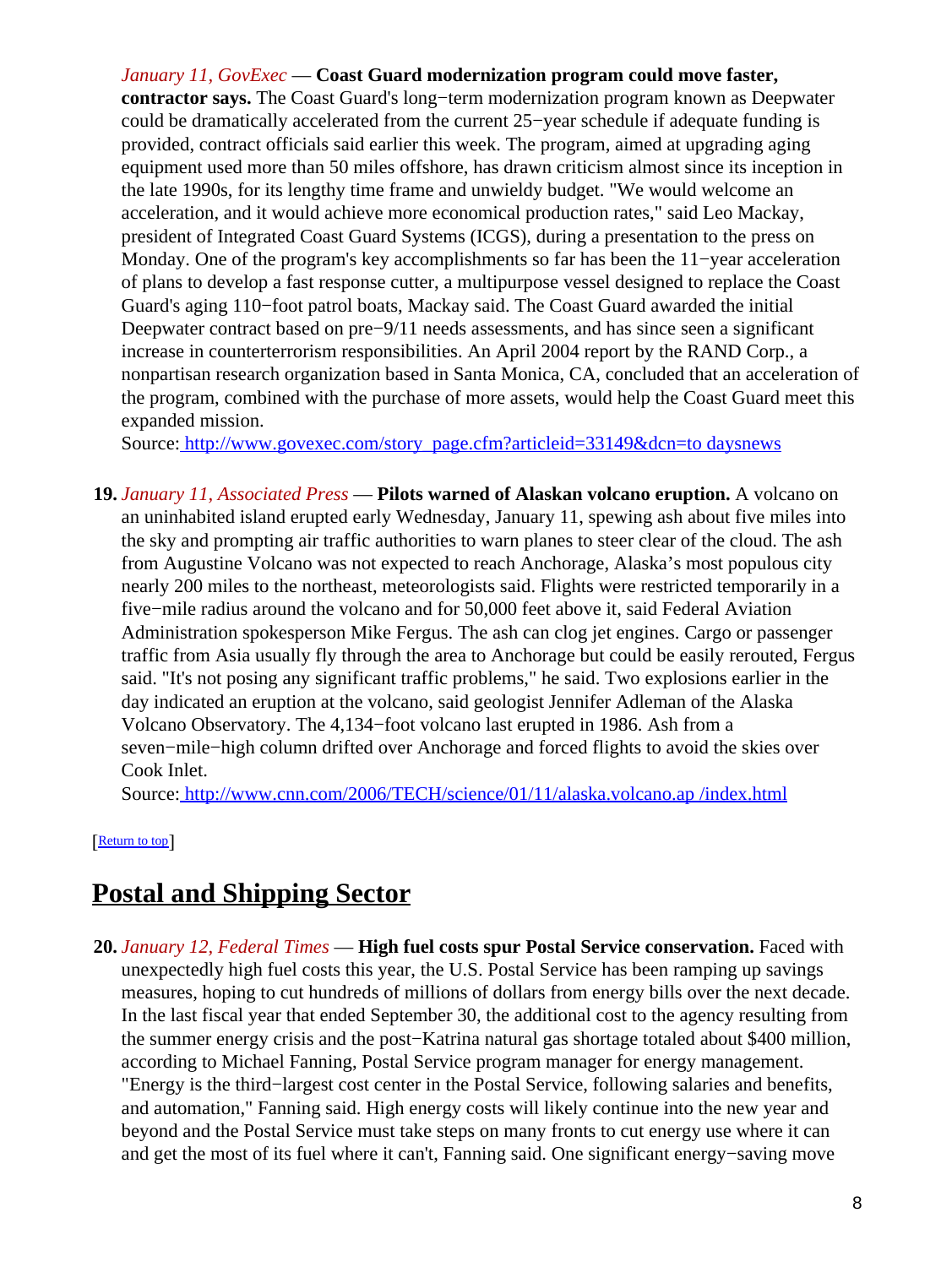### *January 11, GovExec* — **Coast Guard modernization program could move faster,**

**contractor says.** The Coast Guard's long−term modernization program known as Deepwater could be dramatically accelerated from the current 25−year schedule if adequate funding is provided, contract officials said earlier this week. The program, aimed at upgrading aging equipment used more than 50 miles offshore, has drawn criticism almost since its inception in the late 1990s, for its lengthy time frame and unwieldy budget. "We would welcome an acceleration, and it would achieve more economical production rates," said Leo Mackay, president of Integrated Coast Guard Systems (ICGS), during a presentation to the press on Monday. One of the program's key accomplishments so far has been the 11−year acceleration of plans to develop a fast response cutter, a multipurpose vessel designed to replace the Coast Guard's aging 110−foot patrol boats, Mackay said. The Coast Guard awarded the initial Deepwater contract based on pre−9/11 needs assessments, and has since seen a significant increase in counterterrorism responsibilities. An April 2004 report by the RAND Corp., a nonpartisan research organization based in Santa Monica, CA, concluded that an acceleration of the program, combined with the purchase of more assets, would help the Coast Guard meet this expanded mission.

Source[: http://www.govexec.com/story\\_page.cfm?articleid=33149&dcn=to daysnews](http://www.govexec.com/story_page.cfm?articleid=33149&dcn=todaysnews)

**19.** *January 11, Associated Press* — **Pilots warned of Alaskan volcano eruption.** A volcano on an uninhabited island erupted early Wednesday, January 11, spewing ash about five miles into the sky and prompting air traffic authorities to warn planes to steer clear of the cloud. The ash from Augustine Volcano was not expected to reach Anchorage, Alaska's most populous city nearly 200 miles to the northeast, meteorologists said. Flights were restricted temporarily in a five−mile radius around the volcano and for 50,000 feet above it, said Federal Aviation Administration spokesperson Mike Fergus. The ash can clog jet engines. Cargo or passenger traffic from Asia usually fly through the area to Anchorage but could be easily rerouted, Fergus said. "It's not posing any significant traffic problems," he said. Two explosions earlier in the day indicated an eruption at the volcano, said geologist Jennifer Adleman of the Alaska Volcano Observatory. The 4,134−foot volcano last erupted in 1986. Ash from a seven−mile−high column drifted over Anchorage and forced flights to avoid the skies over Cook Inlet.

Source[: http://www.cnn.com/2006/TECH/science/01/11/alaska.volcano.ap /index.html](http://www.cnn.com/2006/TECH/science/01/11/alaska.volcano.ap/index.html)

[[Return to top](#page-0-1)]

### <span id="page-7-0"></span>**Postal and Shipping Sector**

**20.** *January 12, Federal Times* — **High fuel costs spur Postal Service conservation.** Faced with unexpectedly high fuel costs this year, the U.S. Postal Service has been ramping up savings measures, hoping to cut hundreds of millions of dollars from energy bills over the next decade. In the last fiscal year that ended September 30, the additional cost to the agency resulting from the summer energy crisis and the post−Katrina natural gas shortage totaled about \$400 million, according to Michael Fanning, Postal Service program manager for energy management. "Energy is the third−largest cost center in the Postal Service, following salaries and benefits, and automation," Fanning said. High energy costs will likely continue into the new year and beyond and the Postal Service must take steps on many fronts to cut energy use where it can and get the most of its fuel where it can't, Fanning said. One significant energy−saving move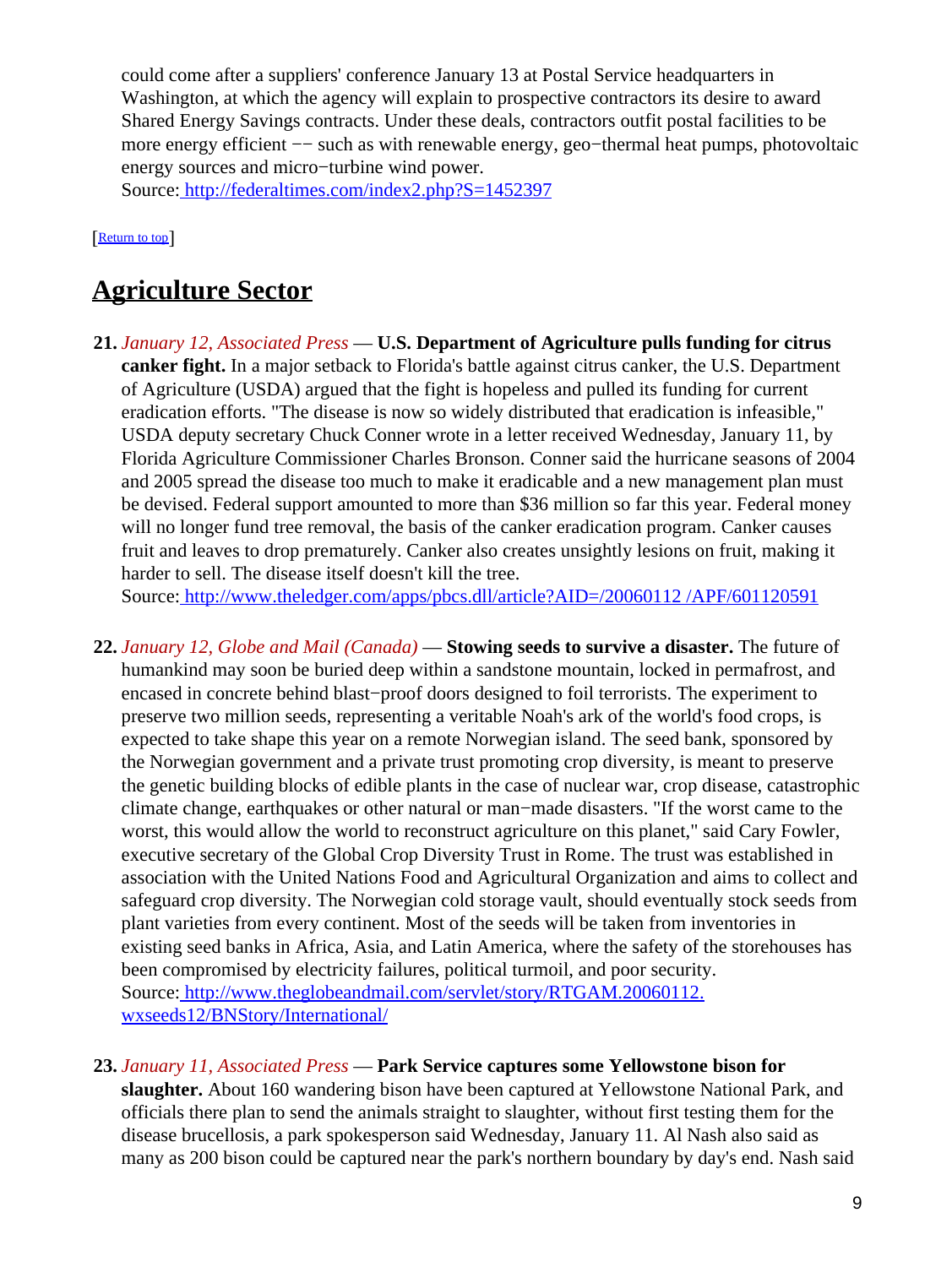could come after a suppliers' conference January 13 at Postal Service headquarters in Washington, at which the agency will explain to prospective contractors its desire to award Shared Energy Savings contracts. Under these deals, contractors outfit postal facilities to be more energy efficient —− such as with renewable energy, geo–thermal heat pumps, photovoltaic energy sources and micro−turbine wind power.

Source[: http://federaltimes.com/index2.php?S=1452397](http://federaltimes.com/index2.php?S=1452397)

[[Return to top](#page-0-1)]

### <span id="page-8-0"></span>**Agriculture Sector**

**21.** *January 12, Associated Press* — **U.S. Department of Agriculture pulls funding for citrus canker fight.** In a major setback to Florida's battle against citrus canker, the U.S. Department of Agriculture (USDA) argued that the fight is hopeless and pulled its funding for current eradication efforts. "The disease is now so widely distributed that eradication is infeasible," USDA deputy secretary Chuck Conner wrote in a letter received Wednesday, January 11, by Florida Agriculture Commissioner Charles Bronson. Conner said the hurricane seasons of 2004 and 2005 spread the disease too much to make it eradicable and a new management plan must be devised. Federal support amounted to more than \$36 million so far this year. Federal money will no longer fund tree removal, the basis of the canker eradication program. Canker causes fruit and leaves to drop prematurely. Canker also creates unsightly lesions on fruit, making it harder to sell. The disease itself doesn't kill the tree.

Source[: http://www.theledger.com/apps/pbcs.dll/article?AID=/20060112 /APF/601120591](http://www.theledger.com/apps/pbcs.dll/article?AID=/20060112/APF/601120591)

**22.** *January 12, Globe and Mail (Canada)* — **Stowing seeds to survive a disaster.** The future of humankind may soon be buried deep within a sandstone mountain, locked in permafrost, and encased in concrete behind blast−proof doors designed to foil terrorists. The experiment to preserve two million seeds, representing a veritable Noah's ark of the world's food crops, is expected to take shape this year on a remote Norwegian island. The seed bank, sponsored by the Norwegian government and a private trust promoting crop diversity, is meant to preserve the genetic building blocks of edible plants in the case of nuclear war, crop disease, catastrophic climate change, earthquakes or other natural or man−made disasters. "If the worst came to the worst, this would allow the world to reconstruct agriculture on this planet," said Cary Fowler, executive secretary of the Global Crop Diversity Trust in Rome. The trust was established in association with the United Nations Food and Agricultural Organization and aims to collect and safeguard crop diversity. The Norwegian cold storage vault, should eventually stock seeds from plant varieties from every continent. Most of the seeds will be taken from inventories in existing seed banks in Africa, Asia, and Latin America, where the safety of the storehouses has been compromised by electricity failures, political turmoil, and poor security. Source[: http://www.theglobeandmail.com/servlet/story/RTGAM.20060112.](http://www.theglobeandmail.com/servlet/story/RTGAM.20060112.wxseeds12/BNStory/International/) [wxseeds12/BNStory/International/](http://www.theglobeandmail.com/servlet/story/RTGAM.20060112.wxseeds12/BNStory/International/)

#### **23.** *January 11, Associated Press* — **Park Service captures some Yellowstone bison for**

**slaughter.** About 160 wandering bison have been captured at Yellowstone National Park, and officials there plan to send the animals straight to slaughter, without first testing them for the disease brucellosis, a park spokesperson said Wednesday, January 11. Al Nash also said as many as 200 bison could be captured near the park's northern boundary by day's end. Nash said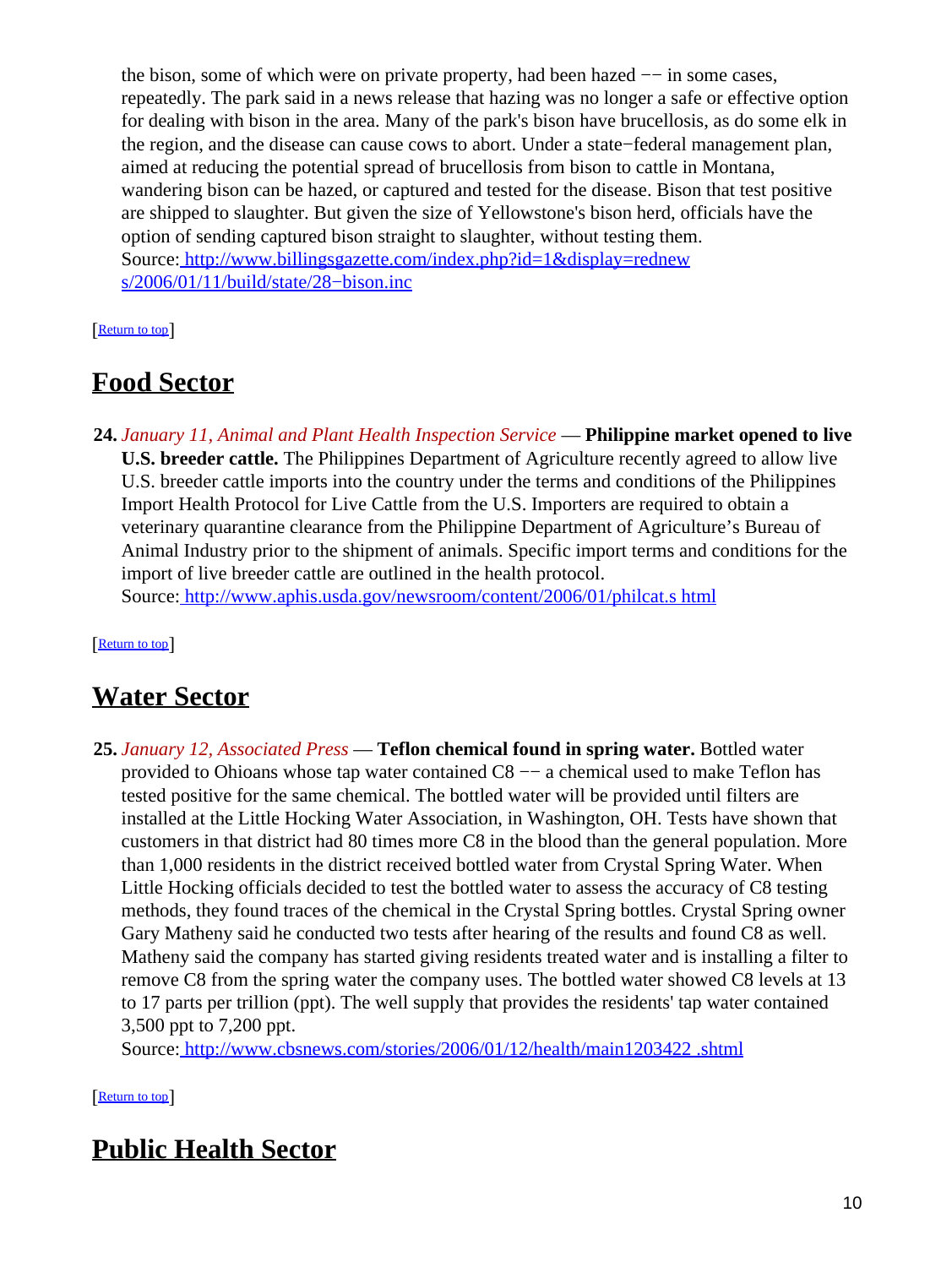the bison, some of which were on private property, had been hazed —− in some cases, repeatedly. The park said in a news release that hazing was no longer a safe or effective option for dealing with bison in the area. Many of the park's bison have brucellosis, as do some elk in the region, and the disease can cause cows to abort. Under a state−federal management plan, aimed at reducing the potential spread of brucellosis from bison to cattle in Montana, wandering bison can be hazed, or captured and tested for the disease. Bison that test positive are shipped to slaughter. But given the size of Yellowstone's bison herd, officials have the option of sending captured bison straight to slaughter, without testing them. Source[: http://www.billingsgazette.com/index.php?id=1&display=rednew](http://www.billingsgazette.com/index.php?id=1&display=rednews/2006/01/11/build/state/28-bison.inc) s/2006/01/11/build/state/28-bison.inc

[[Return to top](#page-0-1)]

### <span id="page-9-0"></span>**Food Sector**

**24.** *January 11, Animal and Plant Health Inspection Service* — **Philippine market opened to live U.S. breeder cattle.** The Philippines Department of Agriculture recently agreed to allow live U.S. breeder cattle imports into the country under the terms and conditions of the Philippines Import Health Protocol for Live Cattle from the U.S. Importers are required to obtain a veterinary quarantine clearance from the Philippine Department of Agriculture's Bureau of Animal Industry prior to the shipment of animals. Specific import terms and conditions for the import of live breeder cattle are outlined in the health protocol. Source[: http://www.aphis.usda.gov/newsroom/content/2006/01/philcat.s html](http://www.aphis.usda.gov/newsroom/content/2006/01/philcat.shtml)

[[Return to top](#page-0-1)]

## <span id="page-9-1"></span>**Water Sector**

**25.** *January 12, Associated Press* — **Teflon chemical found in spring water.** Bottled water provided to Ohioans whose tap water contained C8 −− a chemical used to make Teflon has tested positive for the same chemical. The bottled water will be provided until filters are installed at the Little Hocking Water Association, in Washington, OH. Tests have shown that customers in that district had 80 times more C8 in the blood than the general population. More than 1,000 residents in the district received bottled water from Crystal Spring Water. When Little Hocking officials decided to test the bottled water to assess the accuracy of C8 testing methods, they found traces of the chemical in the Crystal Spring bottles. Crystal Spring owner Gary Matheny said he conducted two tests after hearing of the results and found C8 as well. Matheny said the company has started giving residents treated water and is installing a filter to remove C8 from the spring water the company uses. The bottled water showed C8 levels at 13 to 17 parts per trillion (ppt). The well supply that provides the residents' tap water contained 3,500 ppt to 7,200 ppt.

Source[: http://www.cbsnews.com/stories/2006/01/12/health/main1203422 .shtml](http://www.cbsnews.com/stories/2006/01/12/health/main1203422.shtml)

[[Return to top](#page-0-1)]

## <span id="page-9-2"></span>**Public Health Sector**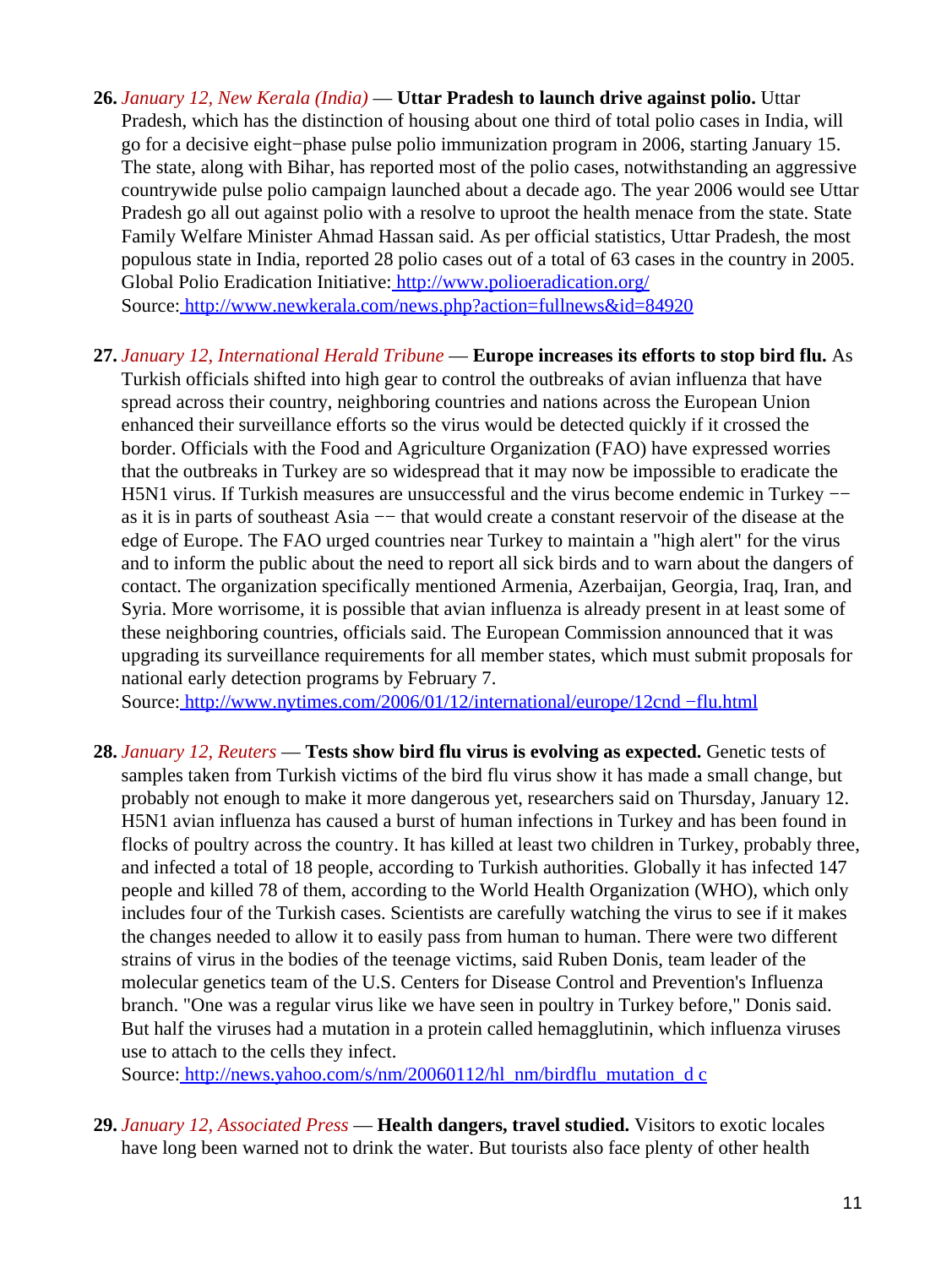- **26.** *January 12, New Kerala (India)* — **Uttar Pradesh to launch drive against polio.** Uttar Pradesh, which has the distinction of housing about one third of total polio cases in India, will go for a decisive eight−phase pulse polio immunization program in 2006, starting January 15. The state, along with Bihar, has reported most of the polio cases, notwithstanding an aggressive countrywide pulse polio campaign launched about a decade ago. The year 2006 would see Uttar Pradesh go all out against polio with a resolve to uproot the health menace from the state. State Family Welfare Minister Ahmad Hassan said. As per official statistics, Uttar Pradesh, the most populous state in India, reported 28 polio cases out of a total of 63 cases in the country in 2005. Global Polio Eradication Initiative:<http://www.polioeradication.org/> Source[: http://www.newkerala.com/news.php?action=fullnews&id=84920](http://www.newkerala.com/news.php?action=fullnews&id=84920)
- **27.** *January 12, International Herald Tribune* — **Europe increases its efforts to stop bird flu.** As Turkish officials shifted into high gear to control the outbreaks of avian influenza that have spread across their country, neighboring countries and nations across the European Union enhanced their surveillance efforts so the virus would be detected quickly if it crossed the border. Officials with the Food and Agriculture Organization (FAO) have expressed worries that the outbreaks in Turkey are so widespread that it may now be impossible to eradicate the H5N1 virus. If Turkish measures are unsuccessful and the virus become endemic in Turkey −− as it is in parts of southeast Asia −− that would create a constant reservoir of the disease at the edge of Europe. The FAO urged countries near Turkey to maintain a "high alert" for the virus and to inform the public about the need to report all sick birds and to warn about the dangers of contact. The organization specifically mentioned Armenia, Azerbaijan, Georgia, Iraq, Iran, and Syria. More worrisome, it is possible that avian influenza is already present in at least some of these neighboring countries, officials said. The European Commission announced that it was upgrading its surveillance requirements for all member states, which must submit proposals for national early detection programs by February 7.

Source[: http://www.nytimes.com/2006/01/12/international/europe/12cnd −flu.html](http://www.nytimes.com/2006/01/12/international/europe/12cnd-flu.html)

<span id="page-10-0"></span>**28.** *January 12, Reuters* — **Tests show bird flu virus is evolving as expected.** Genetic tests of samples taken from Turkish victims of the bird flu virus show it has made a small change, but probably not enough to make it more dangerous yet, researchers said on Thursday, January 12. H5N1 avian influenza has caused a burst of human infections in Turkey and has been found in flocks of poultry across the country. It has killed at least two children in Turkey, probably three, and infected a total of 18 people, according to Turkish authorities. Globally it has infected 147 people and killed 78 of them, according to the World Health Organization (WHO), which only includes four of the Turkish cases. Scientists are carefully watching the virus to see if it makes the changes needed to allow it to easily pass from human to human. There were two different strains of virus in the bodies of the teenage victims, said Ruben Donis, team leader of the molecular genetics team of the U.S. Centers for Disease Control and Prevention's Influenza branch. "One was a regular virus like we have seen in poultry in Turkey before," Donis said. But half the viruses had a mutation in a protein called hemagglutinin, which influenza viruses use to attach to the cells they infect.

Source[: http://news.yahoo.com/s/nm/20060112/hl\\_nm/birdflu\\_mutation\\_d c](http://news.yahoo.com/s/nm/20060112/hl_nm/birdflu_mutation_dc)

**29.** *January 12, Associated Press* — **Health dangers, travel studied.** Visitors to exotic locales have long been warned not to drink the water. But tourists also face plenty of other health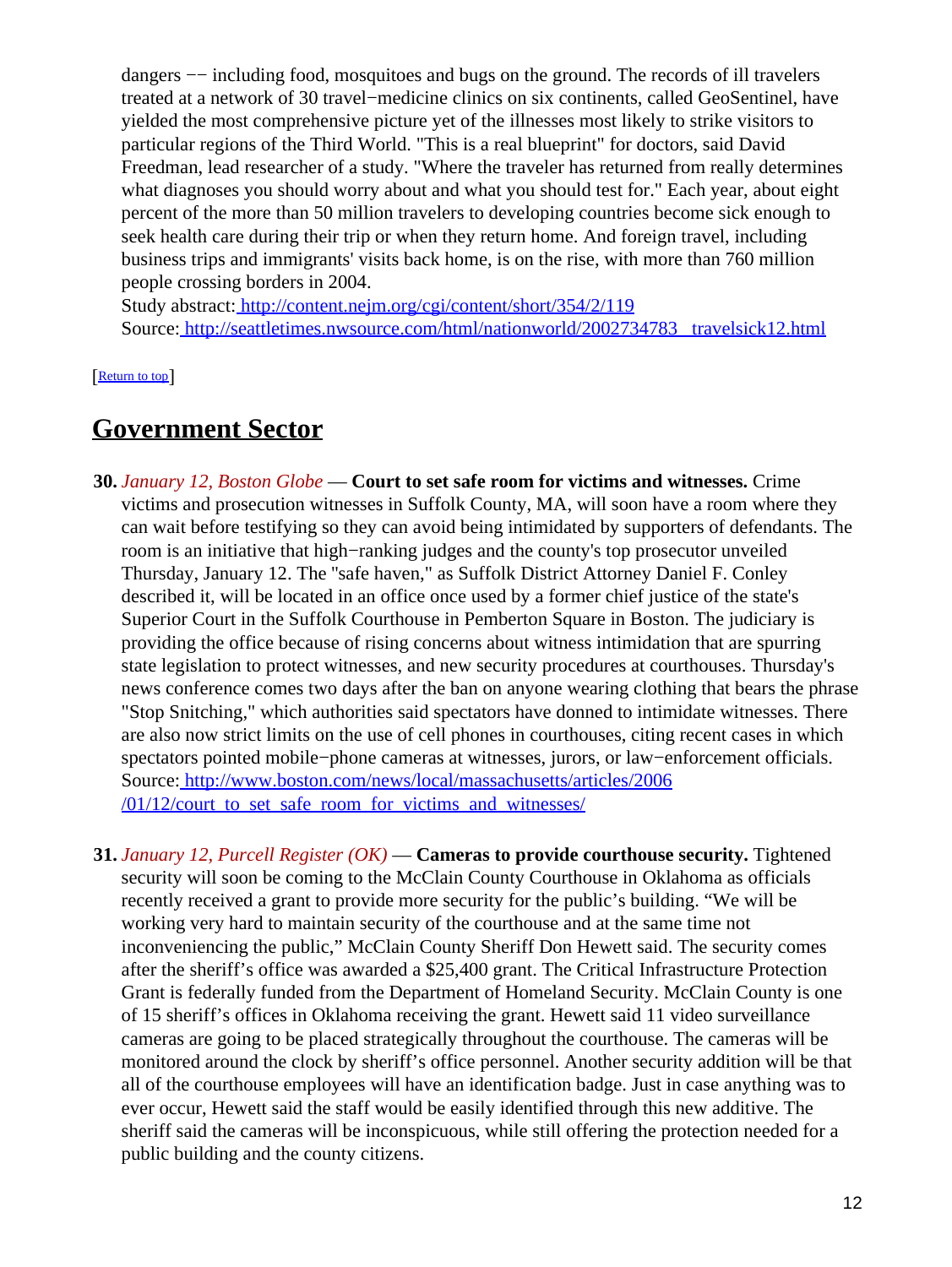dangers −− including food, mosquitoes and bugs on the ground. The records of ill travelers treated at a network of 30 travel−medicine clinics on six continents, called GeoSentinel, have yielded the most comprehensive picture yet of the illnesses most likely to strike visitors to particular regions of the Third World. "This is a real blueprint" for doctors, said David Freedman, lead researcher of a study. "Where the traveler has returned from really determines what diagnoses you should worry about and what you should test for." Each year, about eight percent of the more than 50 million travelers to developing countries become sick enough to seek health care during their trip or when they return home. And foreign travel, including business trips and immigrants' visits back home, is on the rise, with more than 760 million people crossing borders in 2004.

Study abstract:<http://content.nejm.org/cgi/content/short/354/2/119> Source: http://seattletimes.nwsource.com/html/nationworld/2002734783\_travelsick12.html

[[Return to top](#page-0-1)]

### <span id="page-11-0"></span>**Government Sector**

- **30.** *January 12, Boston Globe* — **Court to set safe room for victims and witnesses.** Crime victims and prosecution witnesses in Suffolk County, MA, will soon have a room where they can wait before testifying so they can avoid being intimidated by supporters of defendants. The room is an initiative that high−ranking judges and the county's top prosecutor unveiled Thursday, January 12. The ''safe haven," as Suffolk District Attorney Daniel F. Conley described it, will be located in an office once used by a former chief justice of the state's Superior Court in the Suffolk Courthouse in Pemberton Square in Boston. The judiciary is providing the office because of rising concerns about witness intimidation that are spurring state legislation to protect witnesses, and new security procedures at courthouses. Thursday's news conference comes two days after the ban on anyone wearing clothing that bears the phrase "Stop Snitching," which authorities said spectators have donned to intimidate witnesses. There are also now strict limits on the use of cell phones in courthouses, citing recent cases in which spectators pointed mobile−phone cameras at witnesses, jurors, or law−enforcement officials. Source[: http://www.boston.com/news/local/massachusetts/articles/2006](http://www.boston.com/news/local/massachusetts/articles/2006/01/12/court_to_set_safe_room_for_victims_and_witnesses/) /01/12/court to set safe room for victims and witnesses/
- **31.** *January 12, Purcell Register (OK)* — **Cameras to provide courthouse security.** Tightened security will soon be coming to the McClain County Courthouse in Oklahoma as officials recently received a grant to provide more security for the public's building. "We will be working very hard to maintain security of the courthouse and at the same time not inconveniencing the public," McClain County Sheriff Don Hewett said. The security comes after the sheriff's office was awarded a \$25,400 grant. The Critical Infrastructure Protection Grant is federally funded from the Department of Homeland Security. McClain County is one of 15 sheriff's offices in Oklahoma receiving the grant. Hewett said 11 video surveillance cameras are going to be placed strategically throughout the courthouse. The cameras will be monitored around the clock by sheriff's office personnel. Another security addition will be that all of the courthouse employees will have an identification badge. Just in case anything was to ever occur, Hewett said the staff would be easily identified through this new additive. The sheriff said the cameras will be inconspicuous, while still offering the protection needed for a public building and the county citizens.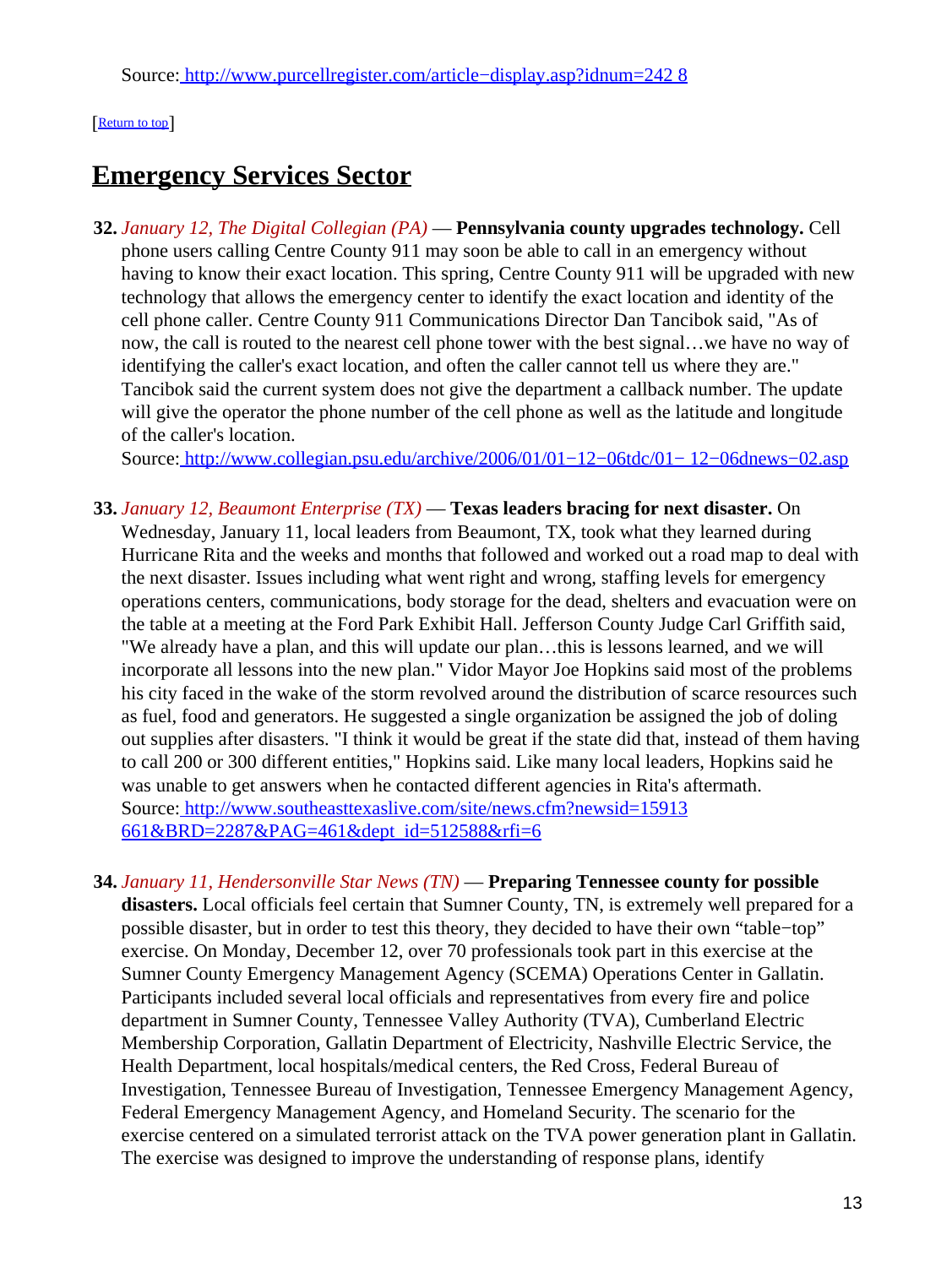### [[Return to top](#page-0-1)]

## <span id="page-12-0"></span>**Emergency Services Sector**

**32.** *January 12, The Digital Collegian (PA)* — **Pennsylvania county upgrades technology.** Cell phone users calling Centre County 911 may soon be able to call in an emergency without having to know their exact location. This spring, Centre County 911 will be upgraded with new technology that allows the emergency center to identify the exact location and identity of the cell phone caller. Centre County 911 Communications Director Dan Tancibok said, "As of now, the call is routed to the nearest cell phone tower with the best signal…we have no way of identifying the caller's exact location, and often the caller cannot tell us where they are." Tancibok said the current system does not give the department a callback number. The update will give the operator the phone number of the cell phone as well as the latitude and longitude of the caller's location.

Source[: http://www.collegian.psu.edu/archive/2006/01/01−12−06tdc/01− 12−06dnews−02.asp](http://www.collegian.psu.edu/archive/2006/01/01-12-06tdc/01-12-06dnews-02.asp)

- **33.** *January 12, Beaumont Enterprise (TX)* — **Texas leaders bracing for next disaster.** On Wednesday, January 11, local leaders from Beaumont, TX, took what they learned during Hurricane Rita and the weeks and months that followed and worked out a road map to deal with the next disaster. Issues including what went right and wrong, staffing levels for emergency operations centers, communications, body storage for the dead, shelters and evacuation were on the table at a meeting at the Ford Park Exhibit Hall. Jefferson County Judge Carl Griffith said, "We already have a plan, and this will update our plan…this is lessons learned, and we will incorporate all lessons into the new plan." Vidor Mayor Joe Hopkins said most of the problems his city faced in the wake of the storm revolved around the distribution of scarce resources such as fuel, food and generators. He suggested a single organization be assigned the job of doling out supplies after disasters. "I think it would be great if the state did that, instead of them having to call 200 or 300 different entities," Hopkins said. Like many local leaders, Hopkins said he was unable to get answers when he contacted different agencies in Rita's aftermath. Source[: http://www.southeasttexaslive.com/site/news.cfm?newsid=15913](http://www.southeasttexaslive.com/site/news.cfm?newsid=15913661&BRD=2287&PAG=461&dept_id=512588&rfi=6) [661&BRD=2287&PAG=461&dept\\_id=512588&rfi=6](http://www.southeasttexaslive.com/site/news.cfm?newsid=15913661&BRD=2287&PAG=461&dept_id=512588&rfi=6)
- **34.** *January 11, Hendersonville Star News (TN)* — **Preparing Tennessee county for possible disasters.** Local officials feel certain that Sumner County, TN, is extremely well prepared for a possible disaster, but in order to test this theory, they decided to have their own "table−top" exercise. On Monday, December 12, over 70 professionals took part in this exercise at the Sumner County Emergency Management Agency (SCEMA) Operations Center in Gallatin. Participants included several local officials and representatives from every fire and police department in Sumner County, Tennessee Valley Authority (TVA), Cumberland Electric Membership Corporation, Gallatin Department of Electricity, Nashville Electric Service, the Health Department, local hospitals/medical centers, the Red Cross, Federal Bureau of Investigation, Tennessee Bureau of Investigation, Tennessee Emergency Management Agency, Federal Emergency Management Agency, and Homeland Security. The scenario for the exercise centered on a simulated terrorist attack on the TVA power generation plant in Gallatin. The exercise was designed to improve the understanding of response plans, identify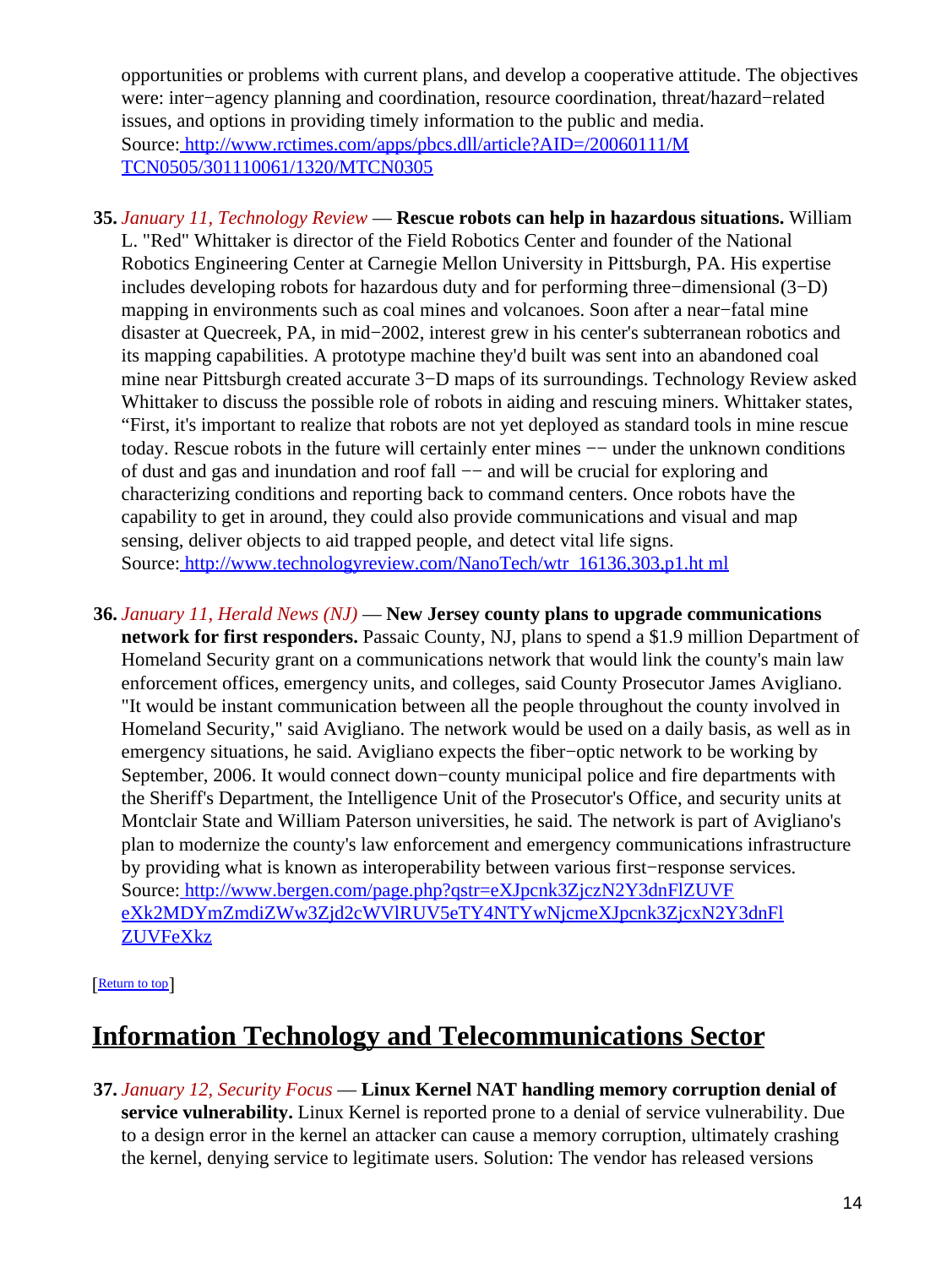opportunities or problems with current plans, and develop a cooperative attitude. The objectives were: inter−agency planning and coordination, resource coordination, threat/hazard−related issues, and options in providing timely information to the public and media. Source[: http://www.rctimes.com/apps/pbcs.dll/article?AID=/20060111/M](http://www.rctimes.com/apps/pbcs.dll/article?AID=/20060111/MTCN0505/301110061/1320/MTCN0305) [TCN0505/301110061/1320/MTCN0305](http://www.rctimes.com/apps/pbcs.dll/article?AID=/20060111/MTCN0505/301110061/1320/MTCN0305)

**35.** *January 11, Technology Review* — **Rescue robots can help in hazardous situations.** William L. "Red" Whittaker is director of the Field Robotics Center and founder of the National Robotics Engineering Center at Carnegie Mellon University in Pittsburgh, PA. His expertise includes developing robots for hazardous duty and for performing three−dimensional (3−D) mapping in environments such as coal mines and volcanoes. Soon after a near−fatal mine disaster at Quecreek, PA, in mid−2002, interest grew in his center's subterranean robotics and its mapping capabilities. A prototype machine they'd built was sent into an abandoned coal mine near Pittsburgh created accurate 3−D maps of its surroundings. Technology Review asked Whittaker to discuss the possible role of robots in aiding and rescuing miners. Whittaker states, "First, it's important to realize that robots are not yet deployed as standard tools in mine rescue today. Rescue robots in the future will certainly enter mines −− under the unknown conditions of dust and gas and inundation and roof fall −− and will be crucial for exploring and characterizing conditions and reporting back to command centers. Once robots have the capability to get in around, they could also provide communications and visual and map sensing, deliver objects to aid trapped people, and detect vital life signs. Source[: http://www.technologyreview.com/NanoTech/wtr\\_16136,303,p1.ht ml](http://www.technologyreview.com/NanoTech/wtr_16136,303,p1.html)

### **36.** *January 11, Herald News (NJ)* — **New Jersey county plans to upgrade communications**

**network for first responders.** Passaic County, NJ, plans to spend a \$1.9 million Department of Homeland Security grant on a communications network that would link the county's main law enforcement offices, emergency units, and colleges, said County Prosecutor James Avigliano. "It would be instant communication between all the people throughout the county involved in Homeland Security," said Avigliano. The network would be used on a daily basis, as well as in emergency situations, he said. Avigliano expects the fiber−optic network to be working by September, 2006. It would connect down−county municipal police and fire departments with the Sheriff's Department, the Intelligence Unit of the Prosecutor's Office, and security units at Montclair State and William Paterson universities, he said. The network is part of Avigliano's plan to modernize the county's law enforcement and emergency communications infrastructure by providing what is known as interoperability between various first−response services. Source[: http://www.bergen.com/page.php?qstr=eXJpcnk3ZjczN2Y3dnFlZUVF](http://www.bergen.com/page.php?qstr=eXJpcnk3ZjczN2Y3dnFlZUVFeXk2MDYmZmdiZWw3Zjd2cWVlRUV5eTY4NTYwNjcmeXJpcnk3ZjcxN2Y3dnFlZUVFeXkz) [eXk2MDYmZmdiZWw3Zjd2cWVlRUV5eTY4NTYwNjcmeXJpcnk3ZjcxN2Y3dnFl](http://www.bergen.com/page.php?qstr=eXJpcnk3ZjczN2Y3dnFlZUVFeXk2MDYmZmdiZWw3Zjd2cWVlRUV5eTY4NTYwNjcmeXJpcnk3ZjcxN2Y3dnFlZUVFeXkz) **[ZUVFeXkz](http://www.bergen.com/page.php?qstr=eXJpcnk3ZjczN2Y3dnFlZUVFeXk2MDYmZmdiZWw3Zjd2cWVlRUV5eTY4NTYwNjcmeXJpcnk3ZjcxN2Y3dnFlZUVFeXkz)** 

[[Return to top](#page-0-1)]

### <span id="page-13-0"></span>**Information Technology and Telecommunications Sector**

**37.** *January 12, Security Focus* — **Linux Kernel NAT handling memory corruption denial of service vulnerability.** Linux Kernel is reported prone to a denial of service vulnerability. Due to a design error in the kernel an attacker can cause a memory corruption, ultimately crashing the kernel, denying service to legitimate users. Solution: The vendor has released versions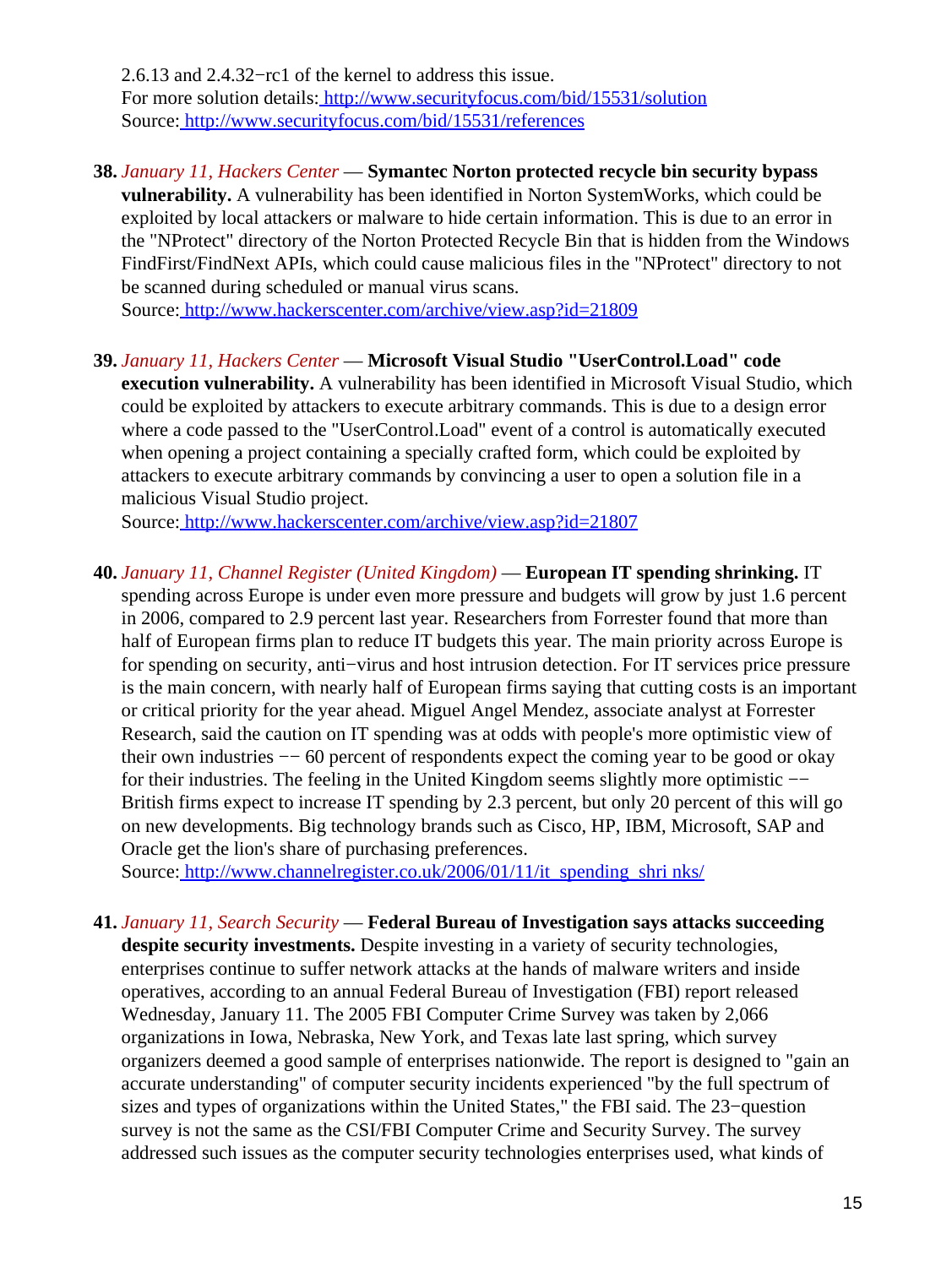2.6.13 and 2.4.32−rc1 of the kernel to address this issue. For more solution details:<http://www.securityfocus.com/bid/15531/solution> Source[: http://www.securityfocus.com/bid/15531/references](http://www.securityfocus.com/bid/15531/references)

**38.** *January 11, Hackers Center* — **Symantec Norton protected recycle bin security bypass vulnerability.** A vulnerability has been identified in Norton SystemWorks, which could be exploited by local attackers or malware to hide certain information. This is due to an error in the "NProtect" directory of the Norton Protected Recycle Bin that is hidden from the Windows FindFirst/FindNext APIs, which could cause malicious files in the "NProtect" directory to not be scanned during scheduled or manual virus scans.

Source[: http://www.hackerscenter.com/archive/view.asp?id=21809](http://www.hackerscenter.com/archive/view.asp?id=21809)

**39.** *January 11, Hackers Center* — **Microsoft Visual Studio "UserControl.Load" code execution vulnerability.** A vulnerability has been identified in Microsoft Visual Studio, which could be exploited by attackers to execute arbitrary commands. This is due to a design error where a code passed to the "UserControl.Load" event of a control is automatically executed when opening a project containing a specially crafted form, which could be exploited by attackers to execute arbitrary commands by convincing a user to open a solution file in a malicious Visual Studio project.

Source[: http://www.hackerscenter.com/archive/view.asp?id=21807](http://www.hackerscenter.com/archive/view.asp?id=21807)

**40.** *January 11, Channel Register (United Kingdom)* — **European IT spending shrinking.** IT spending across Europe is under even more pressure and budgets will grow by just 1.6 percent in 2006, compared to 2.9 percent last year. Researchers from Forrester found that more than half of European firms plan to reduce IT budgets this year. The main priority across Europe is for spending on security, anti−virus and host intrusion detection. For IT services price pressure is the main concern, with nearly half of European firms saying that cutting costs is an important or critical priority for the year ahead. Miguel Angel Mendez, associate analyst at Forrester Research, said the caution on IT spending was at odds with people's more optimistic view of their own industries −− 60 percent of respondents expect the coming year to be good or okay for their industries. The feeling in the United Kingdom seems slightly more optimistic −− British firms expect to increase IT spending by 2.3 percent, but only 20 percent of this will go on new developments. Big technology brands such as Cisco, HP, IBM, Microsoft, SAP and Oracle get the lion's share of purchasing preferences.

Source[: http://www.channelregister.co.uk/2006/01/11/it\\_spending\\_shri nks/](http://www.channelregister.co.uk/2006/01/11/it_spending_shrinks/)

**41.** *January 11, Search Security* — **Federal Bureau of Investigation says attacks succeeding despite security investments.** Despite investing in a variety of security technologies, enterprises continue to suffer network attacks at the hands of malware writers and inside operatives, according to an annual Federal Bureau of Investigation (FBI) report released Wednesday, January 11. The 2005 FBI Computer Crime Survey was taken by 2,066 organizations in Iowa, Nebraska, New York, and Texas late last spring, which survey organizers deemed a good sample of enterprises nationwide. The report is designed to "gain an accurate understanding" of computer security incidents experienced "by the full spectrum of sizes and types of organizations within the United States," the FBI said. The 23−question survey is not the same as the CSI/FBI Computer Crime and Security Survey. The survey addressed such issues as the computer security technologies enterprises used, what kinds of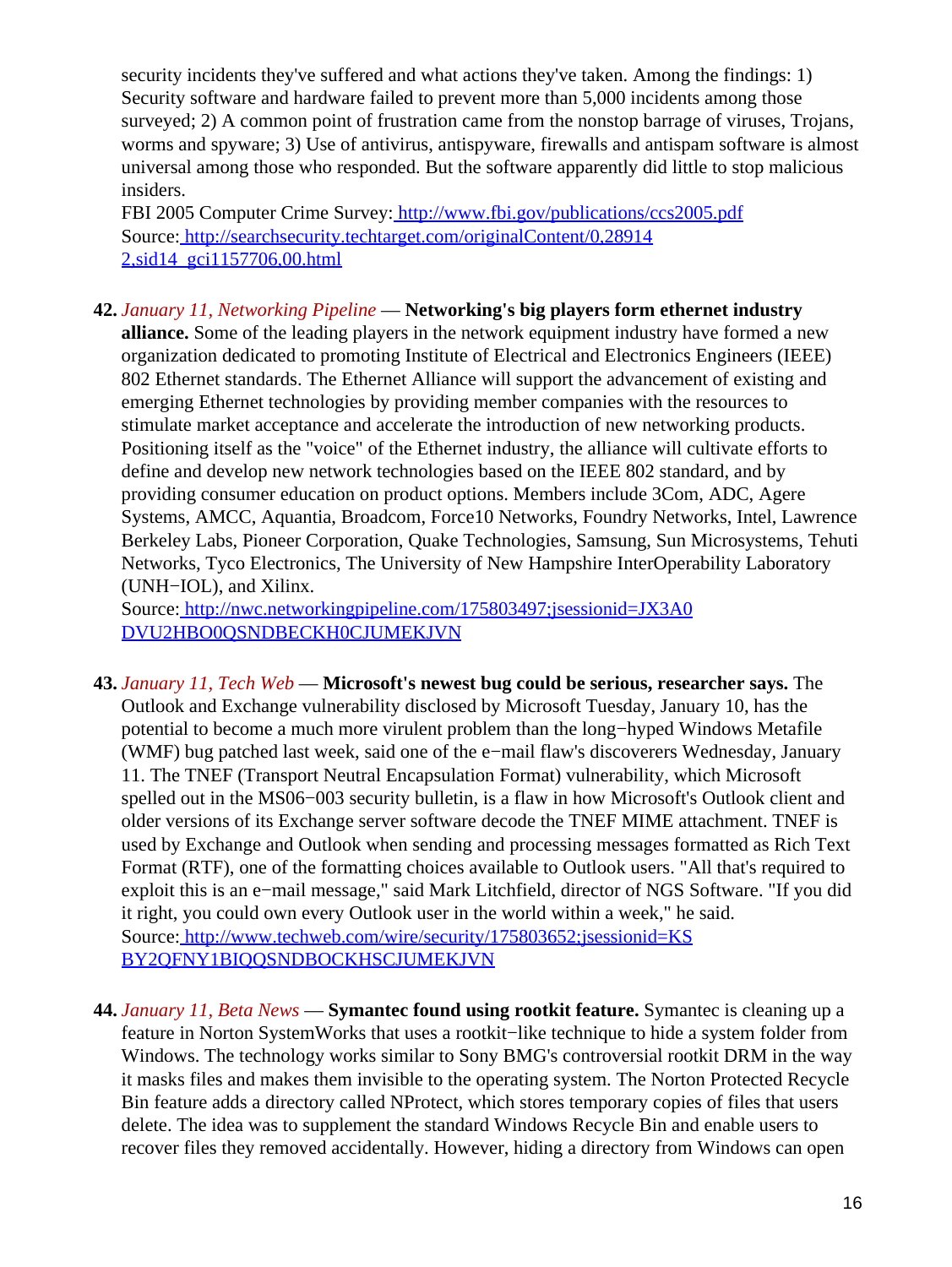security incidents they've suffered and what actions they've taken. Among the findings: 1) Security software and hardware failed to prevent more than 5,000 incidents among those surveyed; 2) A common point of frustration came from the nonstop barrage of viruses, Trojans, worms and spyware; 3) Use of antivirus, antispyware, firewalls and antispam software is almost universal among those who responded. But the software apparently did little to stop malicious insiders.

FBI 2005 Computer Crime Survey:<http://www.fbi.gov/publications/ccs2005.pdf> Source[: http://searchsecurity.techtarget.com/originalContent/0,28914](http://searchsecurity.techtarget.com/originalContent/0,289142,sid14_gci1157706,00.html) [2,sid14\\_gci1157706,00.html](http://searchsecurity.techtarget.com/originalContent/0,289142,sid14_gci1157706,00.html)

**42.** *January 11, Networking Pipeline* — **Networking's big players form ethernet industry alliance.** Some of the leading players in the network equipment industry have formed a new organization dedicated to promoting Institute of Electrical and Electronics Engineers (IEEE) 802 Ethernet standards. The Ethernet Alliance will support the advancement of existing and emerging Ethernet technologies by providing member companies with the resources to stimulate market acceptance and accelerate the introduction of new networking products. Positioning itself as the "voice" of the Ethernet industry, the alliance will cultivate efforts to define and develop new network technologies based on the IEEE 802 standard, and by providing consumer education on product options. Members include 3Com, ADC, Agere Systems, AMCC, Aquantia, Broadcom, Force10 Networks, Foundry Networks, Intel, Lawrence Berkeley Labs, Pioneer Corporation, Quake Technologies, Samsung, Sun Microsystems, Tehuti Networks, Tyco Electronics, The University of New Hampshire InterOperability Laboratory (UNH−IOL), and Xilinx.

Source[: http://nwc.networkingpipeline.com/175803497;jsessionid=JX3A0](http://nwc.networkingpipeline.com/175803497;jsessionid=JX3A0DVU2HBO0QSNDBECKH0CJUMEKJVN) [DVU2HBO0QSNDBECKH0CJUMEKJVN](http://nwc.networkingpipeline.com/175803497;jsessionid=JX3A0DVU2HBO0QSNDBECKH0CJUMEKJVN)

- **43.** *January 11, Tech Web* — **Microsoft's newest bug could be serious, researcher says.** The Outlook and Exchange vulnerability disclosed by Microsoft Tuesday, January 10, has the potential to become a much more virulent problem than the long−hyped Windows Metafile (WMF) bug patched last week, said one of the e−mail flaw's discoverers Wednesday, January 11. The TNEF (Transport Neutral Encapsulation Format) vulnerability, which Microsoft spelled out in the MS06–003 security bulletin, is a flaw in how Microsoft's Outlook client and older versions of its Exchange server software decode the TNEF MIME attachment. TNEF is used by Exchange and Outlook when sending and processing messages formatted as Rich Text Format (RTF), one of the formatting choices available to Outlook users. "All that's required to exploit this is an e−mail message," said Mark Litchfield, director of NGS Software. "If you did it right, you could own every Outlook user in the world within a week," he said. Source[: http://www.techweb.com/wire/security/175803652;jsessionid=KS](http://www.techweb.com/wire/security/175803652;jsessionid=KSBY2QFNY1BIQQSNDBOCKHSCJUMEKJVN) [BY2QFNY1BIQQSNDBOCKHSCJUMEKJVN](http://www.techweb.com/wire/security/175803652;jsessionid=KSBY2QFNY1BIQQSNDBOCKHSCJUMEKJVN)
- **44.** *January 11, Beta News* — **Symantec found using rootkit feature.** Symantec is cleaning up a feature in Norton SystemWorks that uses a rootkit−like technique to hide a system folder from Windows. The technology works similar to Sony BMG's controversial rootkit DRM in the way it masks files and makes them invisible to the operating system. The Norton Protected Recycle Bin feature adds a directory called NProtect, which stores temporary copies of files that users delete. The idea was to supplement the standard Windows Recycle Bin and enable users to recover files they removed accidentally. However, hiding a directory from Windows can open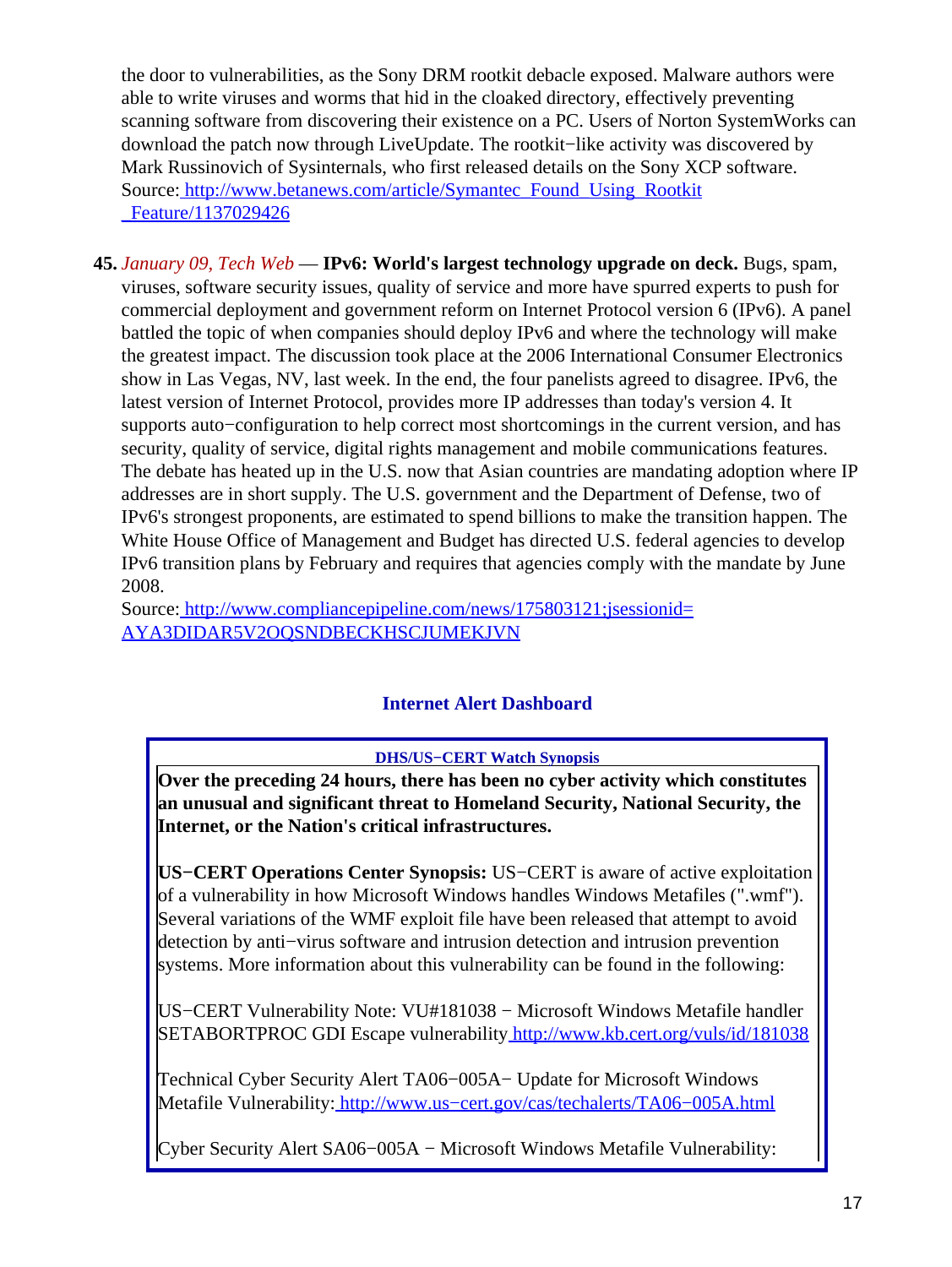the door to vulnerabilities, as the Sony DRM rootkit debacle exposed. Malware authors were able to write viruses and worms that hid in the cloaked directory, effectively preventing scanning software from discovering their existence on a PC. Users of Norton SystemWorks can download the patch now through LiveUpdate. The rootkit−like activity was discovered by Mark Russinovich of Sysinternals, who first released details on the Sony XCP software. Source[: http://www.betanews.com/article/Symantec\\_Found\\_Using\\_Rootkit](http://www.betanews.com/article/Symantec_Found_Using_Rootkit_Feature/1137029426) [\\_Feature/1137029426](http://www.betanews.com/article/Symantec_Found_Using_Rootkit_Feature/1137029426)

**45.** *January 09, Tech Web* — **IPv6: World's largest technology upgrade on deck.** Bugs, spam, viruses, software security issues, quality of service and more have spurred experts to push for commercial deployment and government reform on Internet Protocol version 6 (IPv6). A panel battled the topic of when companies should deploy IPv6 and where the technology will make the greatest impact. The discussion took place at the 2006 International Consumer Electronics show in Las Vegas, NV, last week. In the end, the four panelists agreed to disagree. IPv6, the latest version of Internet Protocol, provides more IP addresses than today's version 4. It supports auto–configuration to help correct most shortcomings in the current version, and has security, quality of service, digital rights management and mobile communications features. The debate has heated up in the U.S. now that Asian countries are mandating adoption where IP addresses are in short supply. The U.S. government and the Department of Defense, two of IPv6's strongest proponents, are estimated to spend billions to make the transition happen. The White House Office of Management and Budget has directed U.S. federal agencies to develop IPv6 transition plans by February and requires that agencies comply with the mandate by June 2008.

<span id="page-16-0"></span>Source[: http://www.compliancepipeline.com/news/175803121;jsessionid=](http://www.compliancepipeline.com/news/175803121;jsessionid=AYA3DIDAR5V2OQSNDBECKHSCJUMEKJVN) [AYA3DIDAR5V2OQSNDBECKHSCJUMEKJVN](http://www.compliancepipeline.com/news/175803121;jsessionid=AYA3DIDAR5V2OQSNDBECKHSCJUMEKJVN)

### **Internet Alert Dashboard**

#### **DHS/US−CERT Watch Synopsis**

**Over the preceding 24 hours, there has been no cyber activity which constitutes an unusual and significant threat to Homeland Security, National Security, the Internet, or the Nation's critical infrastructures.**

**US−CERT Operations Center Synopsis:** US−CERT is aware of active exploitation of a vulnerability in how Microsoft Windows handles Windows Metafiles (".wmf"). Several variations of the WMF exploit file have been released that attempt to avoid detection by anti−virus software and intrusion detection and intrusion prevention systems. More information about this vulnerability can be found in the following:

US−CERT Vulnerability Note: VU#181038 − Microsoft Windows Metafile handler SETABORTPROC GDI Escape vulnerability<http://www.kb.cert.org/vuls/id/181038>

Technical Cyber Security Alert TA06−005A− Update for Microsoft Windows Metafile Vulnerability: [http://www.us−cert.gov/cas/techalerts/TA06−005A.html](http://www.us-cert.gov/cas/techalerts/TA06-005A.html)

Cyber Security Alert SA06−005A − Microsoft Windows Metafile Vulnerability: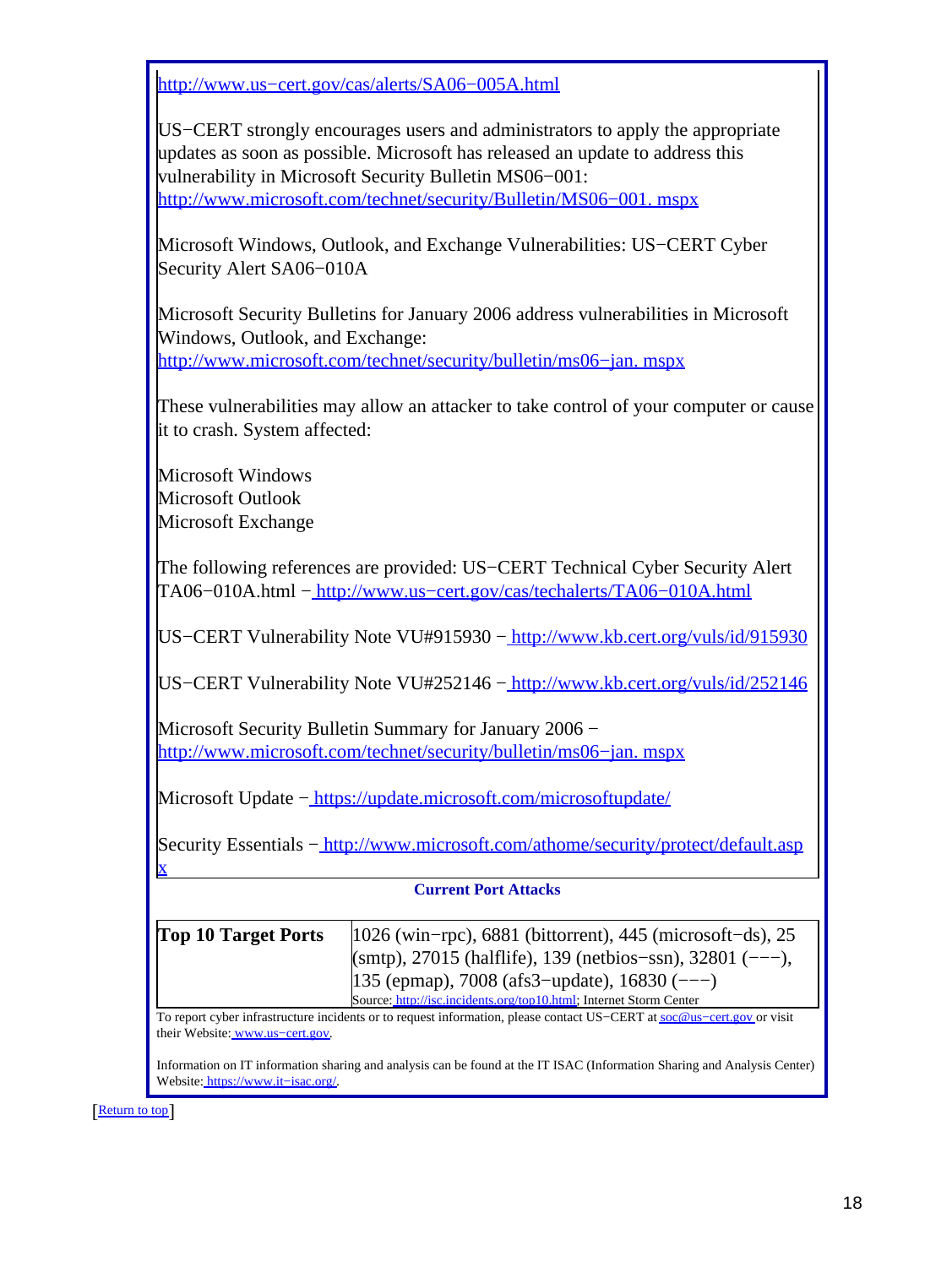[http://www.us−cert.gov/cas/alerts/SA06−005A.html](http://www.us-cert.gov/cas/alerts/SA06-005A.html)

US−CERT strongly encourages users and administrators to apply the appropriate updates as soon as possible. Microsoft has released an update to address this vulnerability in Microsoft Security Bulletin MS06−001: [http://www.microsoft.com/technet/security/Bulletin/MS06−001. mspx](http://www.microsoft.com/technet/security/Bulletin/MS06-001.mspx)

Microsoft Windows, Outlook, and Exchange Vulnerabilities: US−CERT Cyber Security Alert SA06−010A

Microsoft Security Bulletins for January 2006 address vulnerabilities in Microsoft Windows, Outlook, and Exchange: [http://www.microsoft.com/technet/security/bulletin/ms06−jan. mspx](http://www.microsoft.com/technet/security/bulletin/ms06-jan.mspx)

These vulnerabilities may allow an attacker to take control of your computer or cause it to crash. System affected:

Microsoft Windows Microsoft Outlook Microsoft Exchange

The following references are provided: US−CERT Technical Cyber Security Alert TA06−010A.html − [http://www.us−cert.gov/cas/techalerts/TA06−010A.html](http://www.us-cert.gov/cas/techalerts/TA06-010A.html)

US−CERT Vulnerability Note VU#915930 −<http://www.kb.cert.org/vuls/id/915930>

US−CERT Vulnerability Note VU#252146 −<http://www.kb.cert.org/vuls/id/252146>

Microsoft Security Bulletin Summary for January 2006 − [http://www.microsoft.com/technet/security/bulletin/ms06−jan. mspx](http://www.microsoft.com/technet/security/bulletin/ms06-jan.mspx)

Microsoft Update – https://update.microsoft.com/microsoftupdate/

Security Essentials – http://www.microsoft.com/athome/security/protect/default.asp

[x](http://www.microsoft.com/athome/security/protect/default.aspx)

#### **Current Port Attacks**

| <b>Top 10 Target Ports</b> | $ 1026 \text{ (win-pro)}$ , 6881 (bittorrent), 445 (microsoft-ds), 25           |
|----------------------------|---------------------------------------------------------------------------------|
|                            | $\frac{\text{m}}{\text{m}}$ , 27015 (halflife), 139 (netbios-ssn), 32801 (---), |
|                            | $ 135 \text{ (epmap)} $ , 7008 (afs3-update), 16830 (---)                       |
|                            | Source: http://isc.incidents.org/top10.html; Internet Storm Center              |

To report cyber infrastructure incidents or to request information, please contact US−CERT at [soc@us−cert.gov](mailto:soc@us-cert.gov) or visit their Website: [www.us−cert.gov.](http://www.us-cert.gov/)

Information on IT information sharing and analysis can be found at the IT ISAC (Information Sharing and Analysis Center) Website: [https://www.it−isac.org/.](https://www.it-isac.org/)

[[Return to top](#page-0-1)]